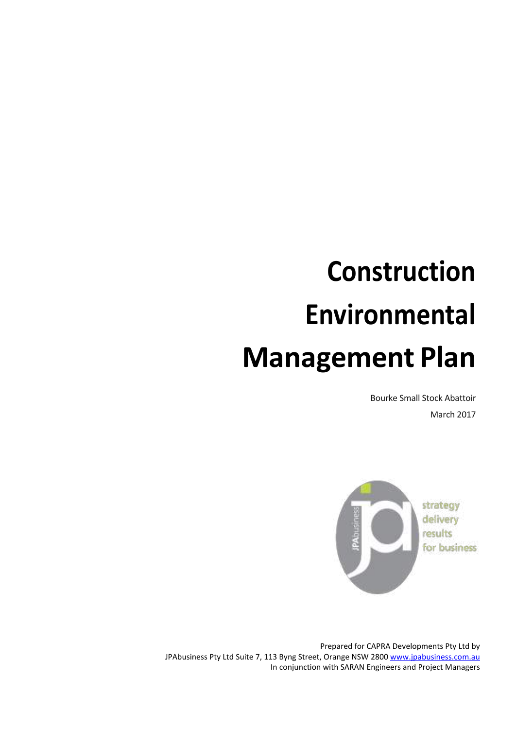# **Construction Environmental Management Plan**

Bourke Small Stock Abattoir March 2017



Prepared for CAPRA Developments Pty Ltd by JPAbusiness Pty Ltd Suite 7, 113 Byng Street, Orange NSW 2800 [www.jpabusiness.com.au](http://www.jpabusiness.com.au/) In conjunction with SARAN Engineers and Project Managers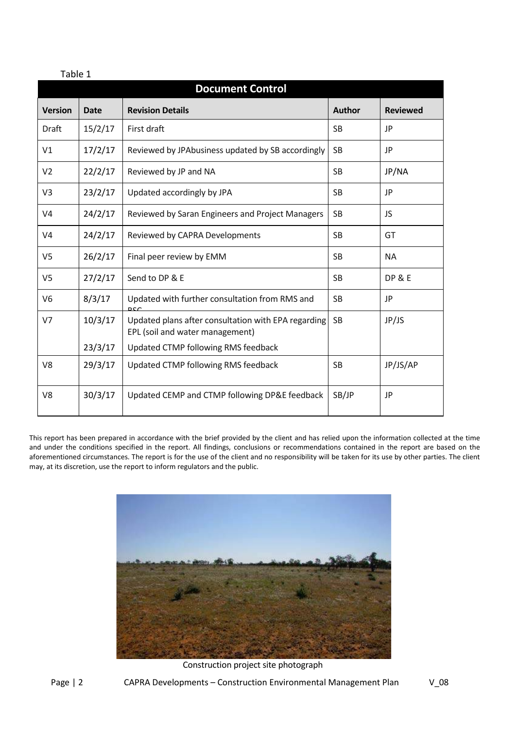| <b>Document Control</b> |             |                                                                                        |               |                   |  |  |  |
|-------------------------|-------------|----------------------------------------------------------------------------------------|---------------|-------------------|--|--|--|
| <b>Version</b>          | <b>Date</b> | <b>Revision Details</b>                                                                | <b>Author</b> | <b>Reviewed</b>   |  |  |  |
| Draft                   | 15/2/17     | First draft                                                                            | <b>SB</b>     | JP                |  |  |  |
| V1                      | 17/2/17     | Reviewed by JPAbusiness updated by SB accordingly                                      | <b>SB</b>     | JP                |  |  |  |
| V <sub>2</sub>          | 22/2/17     | Reviewed by JP and NA                                                                  | <b>SB</b>     | JP/NA             |  |  |  |
| V <sub>3</sub>          | 23/2/17     | Updated accordingly by JPA                                                             | <b>SB</b>     | JP                |  |  |  |
| V <sub>4</sub>          | 24/2/17     | Reviewed by Saran Engineers and Project Managers                                       | <b>SB</b>     | JS                |  |  |  |
| V <sub>4</sub>          | 24/2/17     | Reviewed by CAPRA Developments                                                         | <b>SB</b>     | GT                |  |  |  |
| V <sub>5</sub>          | 26/2/17     | Final peer review by EMM                                                               | <b>SB</b>     | <b>NA</b>         |  |  |  |
| V <sub>5</sub>          | 27/2/17     | Send to DP & E                                                                         | <b>SB</b>     | <b>DP &amp; E</b> |  |  |  |
| V <sub>6</sub>          | 8/3/17      | Updated with further consultation from RMS and<br>D <sub>C</sub> C                     | <b>SB</b>     | JP                |  |  |  |
| V <sub>7</sub>          | 10/3/17     | Updated plans after consultation with EPA regarding<br>EPL (soil and water management) | <b>SB</b>     | JP/JS             |  |  |  |
|                         | 23/3/17     | Updated CTMP following RMS feedback                                                    |               |                   |  |  |  |
| V <sub>8</sub>          | 29/3/17     | Updated CTMP following RMS feedback                                                    | <b>SB</b>     | JP/JS/AP          |  |  |  |
| V8                      | 30/3/17     | Updated CEMP and CTMP following DP&E feedback                                          | SB/JP         | JP                |  |  |  |

This report has been prepared in accordance with the brief provided by the client and has relied upon the information collected at the time and under the conditions specified in the report. All findings, conclusions or recommendations contained in the report are based on the aforementioned circumstances. The report is for the use of the client and no responsibility will be taken for its use by other parties. The client may, at its discretion, use the report to inform regulators and the public.



Construction project site photograph

Table 1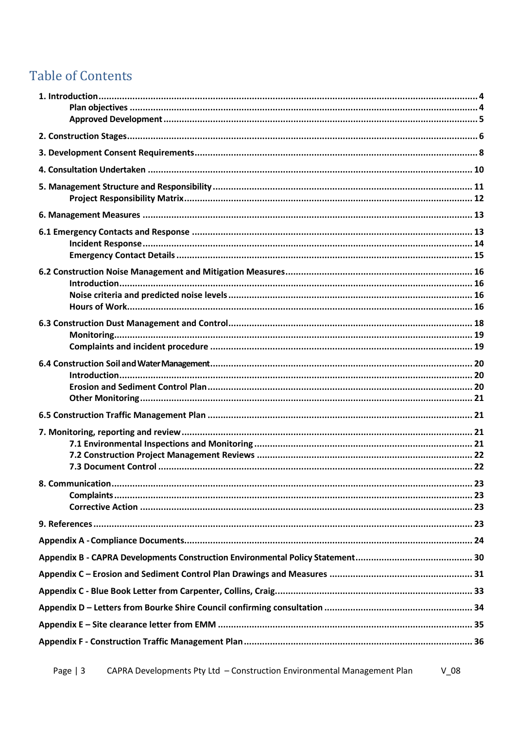# **Table of Contents**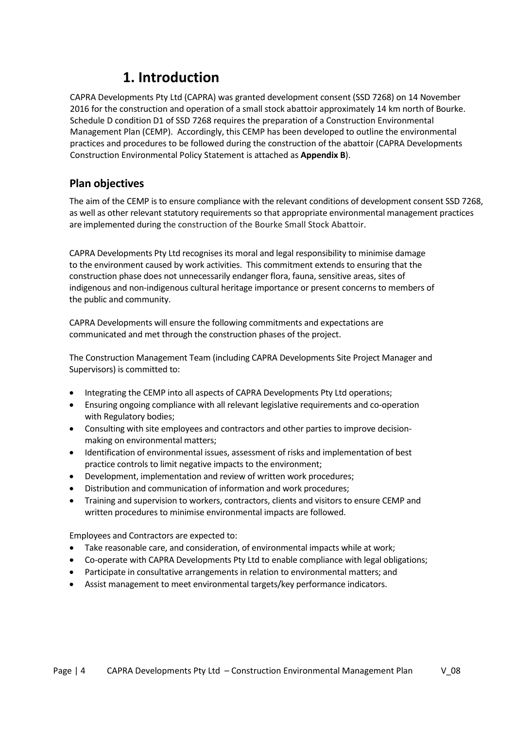# <span id="page-3-0"></span>**1. Introduction**

CAPRA Developments Pty Ltd (CAPRA) was granted development consent (SSD 7268) on 14 November 2016 for the construction and operation of a small stock abattoir approximately 14 km north of Bourke. Schedule D condition D1 of SSD 7268 requires the preparation of a Construction Environmental Management Plan (CEMP). Accordingly, this CEMP has been developed to outline the environmental practices and procedures to be followed during the construction of the abattoir (CAPRA Developments Construction Environmental Policy Statement is attached as **Appendix B**).

### <span id="page-3-1"></span>**Plan objectives**

The aim of the CEMP isto ensure compliance with the relevant conditions of development consent SSD 7268, as well as other relevant statutory requirements so that appropriate environmental management practices are implemented during the construction of the Bourke Small Stock Abattoir.

CAPRA Developments Pty Ltd recognises its moral and legal responsibility to minimise damage to the environment caused by work activities. This commitment extends to ensuring that the construction phase does not unnecessarily endanger flora, fauna, sensitive areas, sites of indigenous and non-indigenous cultural heritage importance or present concerns to members of the public and community.

CAPRA Developments will ensure the following commitments and expectations are communicated and met through the construction phases of the project.

The Construction Management Team (including CAPRA Developments Site Project Manager and Supervisors) is committed to:

- Integrating the CEMP into all aspects of CAPRA Developments Pty Ltd operations;
- Ensuring ongoing compliance with all relevant legislative requirements and co-operation with Regulatory bodies;
- Consulting with site employees and contractors and other parties to improve decisionmaking on environmental matters;
- Identification of environmental issues, assessment of risks and implementation of best practice controls to limit negative impacts to the environment;
- Development, implementation and review of written work procedures;
- Distribution and communication of information and work procedures;
- Training and supervision to workers, contractors, clients and visitors to ensure CEMP and written procedures to minimise environmental impacts are followed.

Employees and Contractors are expected to:

- Take reasonable care, and consideration, of environmental impacts while at work;
- Co-operate with CAPRA Developments Pty Ltd to enable compliance with legal obligations;
- Participate in consultative arrangements in relation to environmental matters; and
- Assist management to meet environmental targets/key performance indicators.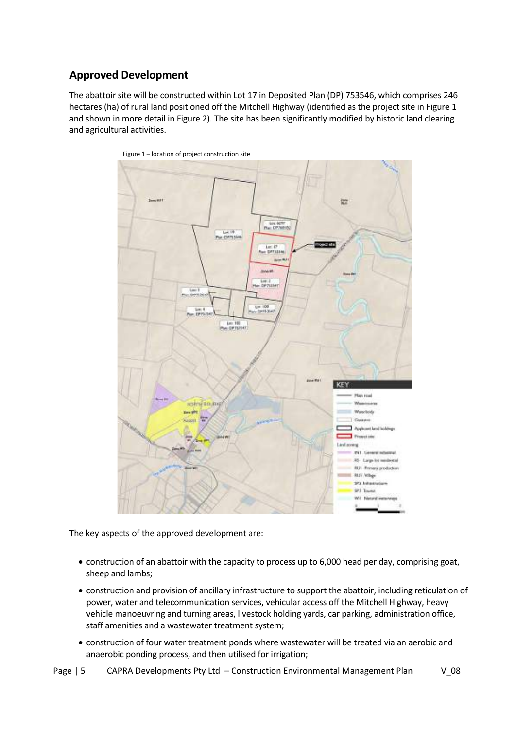### <span id="page-4-0"></span>**Approved Development**

The abattoir site will be constructed within Lot 17 in Deposited Plan (DP) 753546, which comprises 246 hectares (ha) of rural land positioned off the Mitchell Highway (identified as the project site in Figure 1 and shown in more detail in Figure 2). The site has been significantly modified by historic land clearing and agricultural activities.





The key aspects of the approved development are:

- construction of an abattoir with the capacity to process up to 6,000 head per day, comprising goat, sheep and lambs;
- construction and provision of ancillary infrastructure to support the abattoir, including reticulation of power, water and telecommunication services, vehicular access off the Mitchell Highway, heavy vehicle manoeuvring and turning areas, livestock holding yards, car parking, administration office, staff amenities and a wastewater treatment system;
- construction of four water treatment ponds where wastewater will be treated via an aerobic and anaerobic ponding process, and then utilised for irrigation;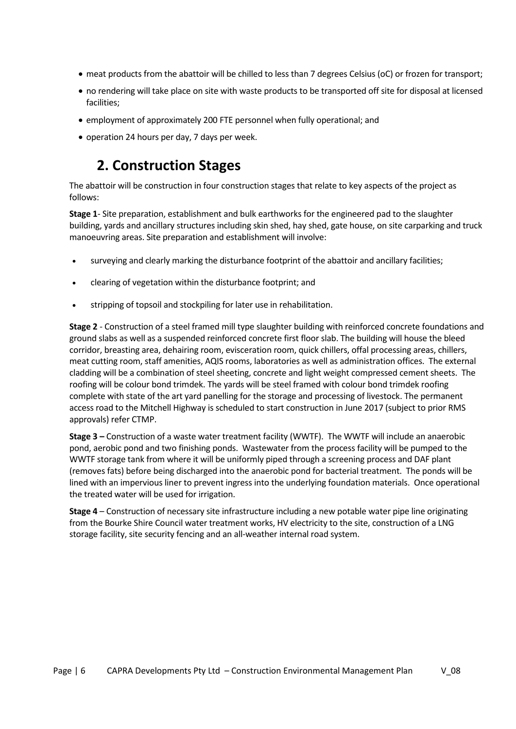- meat products from the abattoir will be chilled to less than 7 degrees Celsius (oC) or frozen for transport;
- no rendering will take place on site with waste products to be transported off site for disposal at licensed facilities;
- employment of approximately 200 FTE personnel when fully operational; and
- operation 24 hours per day, 7 days per week.

# **2. Construction Stages**

<span id="page-5-0"></span>The abattoir will be construction in four construction stages that relate to key aspects of the project as follows:

**Stage 1**- Site preparation, establishment and bulk earthworks for the engineered pad to the slaughter building, yards and ancillary structures including skin shed, hay shed, gate house, on site carparking and truck manoeuvring areas. Site preparation and establishment will involve:

- surveying and clearly marking the disturbance footprint of the abattoir and ancillary facilities;
- clearing of vegetation within the disturbance footprint; and
- stripping of topsoil and stockpiling for later use in rehabilitation.

**Stage 2** - Construction of a steel framed mill type slaughter building with reinforced concrete foundations and ground slabs as well as a suspended reinforced concrete first floor slab. The building will house the bleed corridor, breasting area, dehairing room, evisceration room, quick chillers, offal processing areas, chillers, meat cutting room, staff amenities, AQIS rooms, laboratories as well as administration offices. The external cladding will be a combination of steel sheeting, concrete and light weight compressed cement sheets. The roofing will be colour bond trimdek. The yards will be steel framed with colour bond trimdek roofing complete with state of the art yard panelling for the storage and processing of livestock. The permanent access road to the Mitchell Highway is scheduled to start construction in June 2017 (subject to prior RMS approvals) refer CTMP.

**Stage 3 –** Construction of a waste water treatment facility (WWTF). The WWTF will include an anaerobic pond, aerobic pond and two finishing ponds. Wastewater from the process facility will be pumped to the WWTF storage tank from where it will be uniformly piped through a screening process and DAF plant (removes fats) before being discharged into the anaerobic pond for bacterial treatment. The ponds will be lined with an impervious liner to prevent ingress into the underlying foundation materials. Once operational the treated water will be used for irrigation.

**Stage 4** – Construction of necessary site infrastructure including a new potable water pipe line originating from the Bourke Shire Council water treatment works, HV electricity to the site, construction of a LNG storage facility, site security fencing and an all-weather internal road system.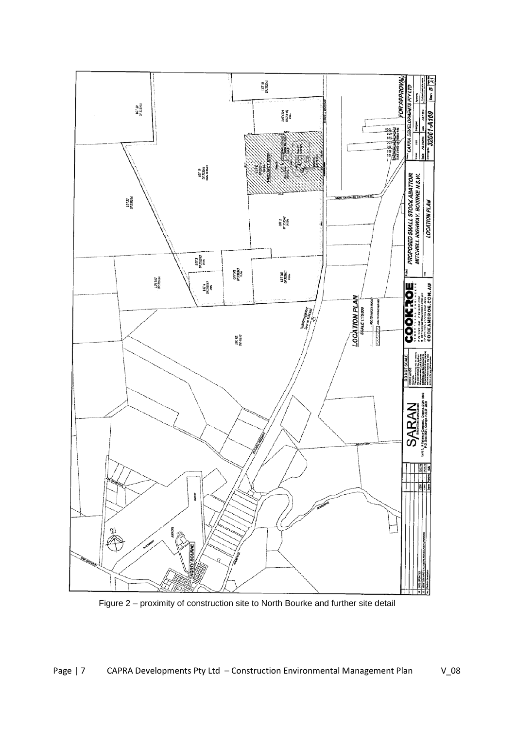

Figure 2 – proximity of construction site to North Bourke and further site detail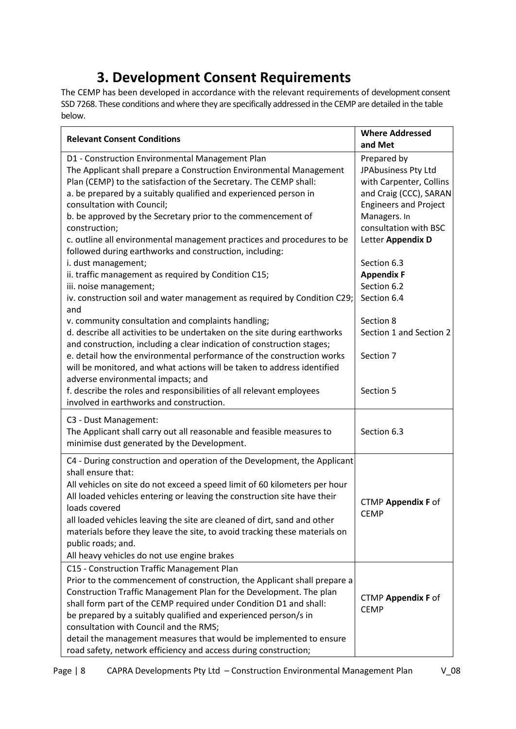# **3. Development Consent Requirements**

<span id="page-7-0"></span>The CEMP has been developed in accordance with the relevant requirements of development consent SSD 7268. These conditions and where they are specifically addressed in the CEMP are detailed in the table below.

| <b>Relevant Consent Conditions</b>                                                                                                                  | <b>Where Addressed</b><br>and Met |
|-----------------------------------------------------------------------------------------------------------------------------------------------------|-----------------------------------|
| D1 - Construction Environmental Management Plan                                                                                                     | Prepared by                       |
| The Applicant shall prepare a Construction Environmental Management                                                                                 | JPAbusiness Pty Ltd               |
| Plan (CEMP) to the satisfaction of the Secretary. The CEMP shall:                                                                                   | with Carpenter, Collins           |
| a. be prepared by a suitably qualified and experienced person in                                                                                    | and Craig (CCC), SARAN            |
| consultation with Council;                                                                                                                          | <b>Engineers and Project</b>      |
| b. be approved by the Secretary prior to the commencement of                                                                                        | Managers. In                      |
| construction;                                                                                                                                       | consultation with BSC             |
| c. outline all environmental management practices and procedures to be<br>followed during earthworks and construction, including:                   | Letter Appendix D                 |
| i. dust management;                                                                                                                                 | Section 6.3                       |
| ii. traffic management as required by Condition C15;                                                                                                | <b>Appendix F</b>                 |
| iii. noise management;                                                                                                                              | Section 6.2                       |
| iv. construction soil and water management as required by Condition C29;<br>and                                                                     | Section 6.4                       |
| v. community consultation and complaints handling;                                                                                                  | Section 8                         |
| d. describe all activities to be undertaken on the site during earthworks<br>and construction, including a clear indication of construction stages; | Section 1 and Section 2           |
| e. detail how the environmental performance of the construction works                                                                               | Section 7                         |
| will be monitored, and what actions will be taken to address identified<br>adverse environmental impacts; and                                       |                                   |
| f. describe the roles and responsibilities of all relevant employees                                                                                | Section 5                         |
| involved in earthworks and construction.                                                                                                            |                                   |
| C3 - Dust Management:                                                                                                                               |                                   |
| The Applicant shall carry out all reasonable and feasible measures to                                                                               | Section 6.3                       |
| minimise dust generated by the Development.                                                                                                         |                                   |
| C4 - During construction and operation of the Development, the Applicant<br>shall ensure that:                                                      |                                   |
| All vehicles on site do not exceed a speed limit of 60 kilometers per hour                                                                          |                                   |
| All loaded vehicles entering or leaving the construction site have their                                                                            |                                   |
| loads covered                                                                                                                                       | CTMP Appendix F of                |
| all loaded vehicles leaving the site are cleaned of dirt, sand and other                                                                            | <b>CEMP</b>                       |
| materials before they leave the site, to avoid tracking these materials on                                                                          |                                   |
| public roads; and.                                                                                                                                  |                                   |
| All heavy vehicles do not use engine brakes                                                                                                         |                                   |
| C15 - Construction Traffic Management Plan                                                                                                          |                                   |
| Prior to the commencement of construction, the Applicant shall prepare a                                                                            |                                   |
| Construction Traffic Management Plan for the Development. The plan                                                                                  |                                   |
| shall form part of the CEMP required under Condition D1 and shall:                                                                                  | <b>CTMP Appendix F of</b>         |
| be prepared by a suitably qualified and experienced person/s in                                                                                     | <b>CEMP</b>                       |
| consultation with Council and the RMS;                                                                                                              |                                   |
| detail the management measures that would be implemented to ensure                                                                                  |                                   |
| road safety, network efficiency and access during construction;                                                                                     |                                   |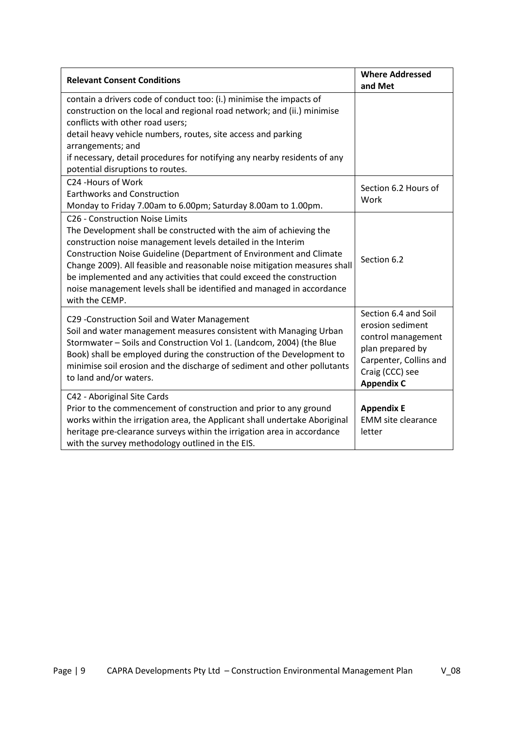| <b>Relevant Consent Conditions</b>                                                                                                                                                                                                                                                                                                                                                                                                                                                           | <b>Where Addressed</b><br>and Met                                                                                                                    |
|----------------------------------------------------------------------------------------------------------------------------------------------------------------------------------------------------------------------------------------------------------------------------------------------------------------------------------------------------------------------------------------------------------------------------------------------------------------------------------------------|------------------------------------------------------------------------------------------------------------------------------------------------------|
| contain a drivers code of conduct too: (i.) minimise the impacts of<br>construction on the local and regional road network; and (ii.) minimise<br>conflicts with other road users;<br>detail heavy vehicle numbers, routes, site access and parking<br>arrangements; and<br>if necessary, detail procedures for notifying any nearby residents of any<br>potential disruptions to routes.                                                                                                    |                                                                                                                                                      |
| C24 -Hours of Work<br><b>Earthworks and Construction</b><br>Monday to Friday 7.00am to 6.00pm; Saturday 8.00am to 1.00pm.                                                                                                                                                                                                                                                                                                                                                                    | Section 6.2 Hours of<br>Work                                                                                                                         |
| C26 - Construction Noise Limits<br>The Development shall be constructed with the aim of achieving the<br>construction noise management levels detailed in the Interim<br>Construction Noise Guideline (Department of Environment and Climate<br>Change 2009). All feasible and reasonable noise mitigation measures shall<br>be implemented and any activities that could exceed the construction<br>noise management levels shall be identified and managed in accordance<br>with the CEMP. | Section 6.2                                                                                                                                          |
| C29 -Construction Soil and Water Management<br>Soil and water management measures consistent with Managing Urban<br>Stormwater - Soils and Construction Vol 1. (Landcom, 2004) (the Blue<br>Book) shall be employed during the construction of the Development to<br>minimise soil erosion and the discharge of sediment and other pollutants<br>to land and/or waters.                                                                                                                      | Section 6.4 and Soil<br>erosion sediment<br>control management<br>plan prepared by<br>Carpenter, Collins and<br>Craig (CCC) see<br><b>Appendix C</b> |
| C42 - Aboriginal Site Cards<br>Prior to the commencement of construction and prior to any ground<br>works within the irrigation area, the Applicant shall undertake Aboriginal<br>heritage pre-clearance surveys within the irrigation area in accordance<br>with the survey methodology outlined in the EIS.                                                                                                                                                                                | <b>Appendix E</b><br><b>EMM</b> site clearance<br>letter                                                                                             |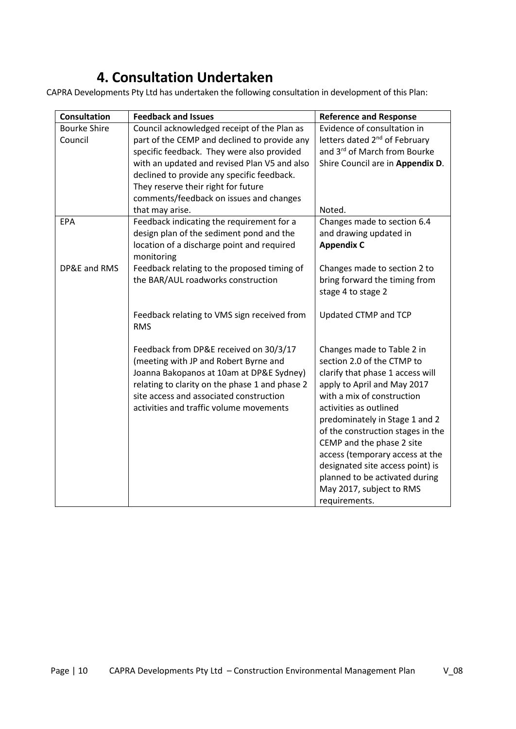# **4. Consultation Undertaken**

<span id="page-9-0"></span>CAPRA Developments Pty Ltd has undertaken the following consultation in development of this Plan:

| <b>Consultation</b> | <b>Feedback and Issues</b>                                                                                                                                                                                                                                          | <b>Reference and Response</b>                                                                                                                                                                                                                                                                                                                                                                                                                 |
|---------------------|---------------------------------------------------------------------------------------------------------------------------------------------------------------------------------------------------------------------------------------------------------------------|-----------------------------------------------------------------------------------------------------------------------------------------------------------------------------------------------------------------------------------------------------------------------------------------------------------------------------------------------------------------------------------------------------------------------------------------------|
| <b>Bourke Shire</b> | Council acknowledged receipt of the Plan as                                                                                                                                                                                                                         | Evidence of consultation in                                                                                                                                                                                                                                                                                                                                                                                                                   |
| Council             | part of the CEMP and declined to provide any                                                                                                                                                                                                                        | letters dated 2 <sup>nd</sup> of February                                                                                                                                                                                                                                                                                                                                                                                                     |
|                     | specific feedback. They were also provided                                                                                                                                                                                                                          | and 3rd of March from Bourke                                                                                                                                                                                                                                                                                                                                                                                                                  |
|                     | with an updated and revised Plan V5 and also                                                                                                                                                                                                                        | Shire Council are in Appendix D.                                                                                                                                                                                                                                                                                                                                                                                                              |
|                     | declined to provide any specific feedback.                                                                                                                                                                                                                          |                                                                                                                                                                                                                                                                                                                                                                                                                                               |
|                     | They reserve their right for future                                                                                                                                                                                                                                 |                                                                                                                                                                                                                                                                                                                                                                                                                                               |
|                     | comments/feedback on issues and changes                                                                                                                                                                                                                             |                                                                                                                                                                                                                                                                                                                                                                                                                                               |
|                     | that may arise.                                                                                                                                                                                                                                                     | Noted.                                                                                                                                                                                                                                                                                                                                                                                                                                        |
| <b>EPA</b>          | Feedback indicating the requirement for a                                                                                                                                                                                                                           | Changes made to section 6.4                                                                                                                                                                                                                                                                                                                                                                                                                   |
|                     | design plan of the sediment pond and the                                                                                                                                                                                                                            | and drawing updated in                                                                                                                                                                                                                                                                                                                                                                                                                        |
|                     | location of a discharge point and required                                                                                                                                                                                                                          | <b>Appendix C</b>                                                                                                                                                                                                                                                                                                                                                                                                                             |
|                     | monitoring                                                                                                                                                                                                                                                          |                                                                                                                                                                                                                                                                                                                                                                                                                                               |
| DP&E and RMS        | Feedback relating to the proposed timing of                                                                                                                                                                                                                         | Changes made to section 2 to                                                                                                                                                                                                                                                                                                                                                                                                                  |
|                     | the BAR/AUL roadworks construction                                                                                                                                                                                                                                  | bring forward the timing from                                                                                                                                                                                                                                                                                                                                                                                                                 |
|                     |                                                                                                                                                                                                                                                                     | stage 4 to stage 2                                                                                                                                                                                                                                                                                                                                                                                                                            |
|                     | Feedback relating to VMS sign received from<br><b>RMS</b>                                                                                                                                                                                                           | Updated CTMP and TCP                                                                                                                                                                                                                                                                                                                                                                                                                          |
|                     | Feedback from DP&E received on 30/3/17<br>(meeting with JP and Robert Byrne and<br>Joanna Bakopanos at 10am at DP&E Sydney)<br>relating to clarity on the phase 1 and phase 2<br>site access and associated construction<br>activities and traffic volume movements | Changes made to Table 2 in<br>section 2.0 of the CTMP to<br>clarify that phase 1 access will<br>apply to April and May 2017<br>with a mix of construction<br>activities as outlined<br>predominately in Stage 1 and 2<br>of the construction stages in the<br>CEMP and the phase 2 site<br>access (temporary access at the<br>designated site access point) is<br>planned to be activated during<br>May 2017, subject to RMS<br>requirements. |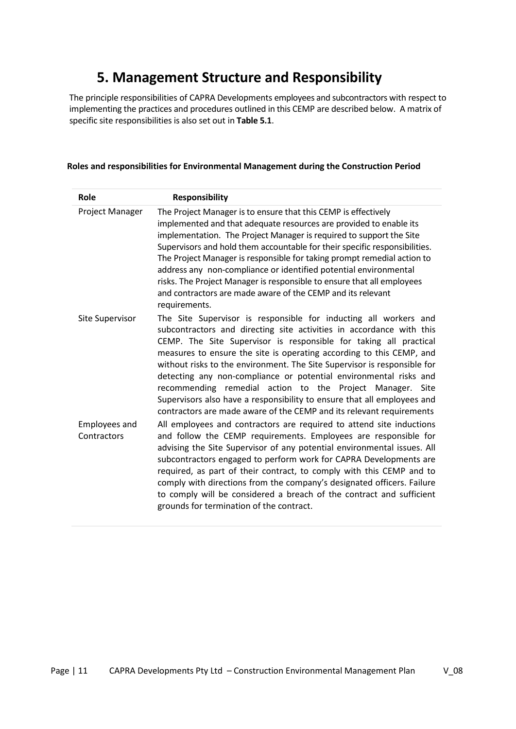# **5. Management Structure and Responsibility**

<span id="page-10-0"></span>The principle responsibilities of CAPRA Developments employees and subcontractors with respect to implementing the practices and procedures outlined in this CEMP are described below. A matrix of specific site responsibilities is also set out in **Table 5.1**.

| Role                                | <b>Responsibility</b>                                                                                                                                                                                                                                                                                                                                                                                                                                                                                                                                                                                                                                  |
|-------------------------------------|--------------------------------------------------------------------------------------------------------------------------------------------------------------------------------------------------------------------------------------------------------------------------------------------------------------------------------------------------------------------------------------------------------------------------------------------------------------------------------------------------------------------------------------------------------------------------------------------------------------------------------------------------------|
| Project Manager                     | The Project Manager is to ensure that this CEMP is effectively<br>implemented and that adequate resources are provided to enable its<br>implementation. The Project Manager is required to support the Site<br>Supervisors and hold them accountable for their specific responsibilities.<br>The Project Manager is responsible for taking prompt remedial action to<br>address any non-compliance or identified potential environmental<br>risks. The Project Manager is responsible to ensure that all employees<br>and contractors are made aware of the CEMP and its relevant<br>requirements.                                                     |
| <b>Site Supervisor</b>              | The Site Supervisor is responsible for inducting all workers and<br>subcontractors and directing site activities in accordance with this<br>CEMP. The Site Supervisor is responsible for taking all practical<br>measures to ensure the site is operating according to this CEMP, and<br>without risks to the environment. The Site Supervisor is responsible for<br>detecting any non-compliance or potential environmental risks and<br>recommending remedial action to the Project Manager. Site<br>Supervisors also have a responsibility to ensure that all employees and<br>contractors are made aware of the CEMP and its relevant requirements |
| <b>Employees and</b><br>Contractors | All employees and contractors are required to attend site inductions<br>and follow the CEMP requirements. Employees are responsible for<br>advising the Site Supervisor of any potential environmental issues. All<br>subcontractors engaged to perform work for CAPRA Developments are<br>required, as part of their contract, to comply with this CEMP and to<br>comply with directions from the company's designated officers. Failure<br>to comply will be considered a breach of the contract and sufficient<br>grounds for termination of the contract.                                                                                          |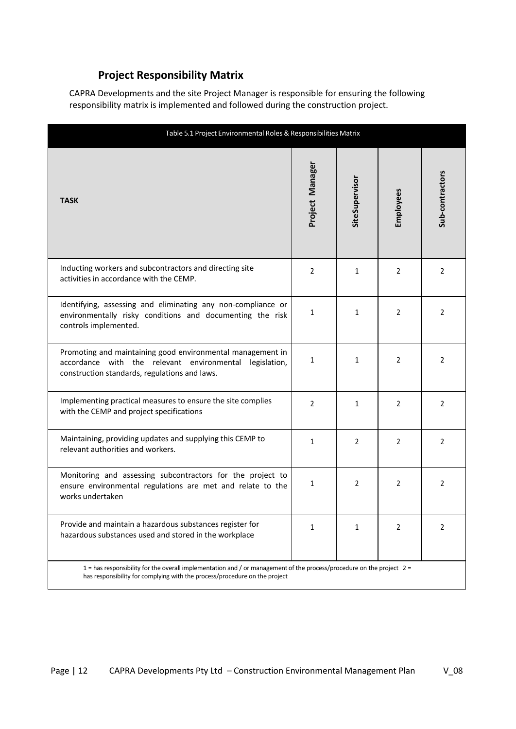### <span id="page-11-0"></span> **Project Responsibility Matrix**

CAPRA Developments and the site Project Manager is responsible for ensuring the following responsibility matrix is implemented and followed during the construction project.

| Table 5.1 Project Environmental Roles & Responsibilities Matrix                                                                                                                                     |                 |                        |                |                 |  |  |  |
|-----------------------------------------------------------------------------------------------------------------------------------------------------------------------------------------------------|-----------------|------------------------|----------------|-----------------|--|--|--|
| <b>TASK</b>                                                                                                                                                                                         | Project Manager | <b>Site Supervisor</b> | Employees      | Sub-contractors |  |  |  |
| Inducting workers and subcontractors and directing site<br>activities in accordance with the CEMP.                                                                                                  | 2               | $\mathbf{1}$           | $\overline{2}$ | 2               |  |  |  |
| Identifying, assessing and eliminating any non-compliance or<br>environmentally risky conditions and documenting the risk<br>controls implemented.                                                  | 1               | 1                      | 2              | 2               |  |  |  |
| Promoting and maintaining good environmental management in<br>accordance with the relevant environmental legislation,<br>construction standards, regulations and laws.                              | 1               | 1                      | 2              | 2               |  |  |  |
| Implementing practical measures to ensure the site complies<br>with the CEMP and project specifications                                                                                             | $\overline{2}$  | 1                      | $\overline{2}$ | 2               |  |  |  |
| Maintaining, providing updates and supplying this CEMP to<br>relevant authorities and workers.                                                                                                      | 1               | 2                      | 2              | 2               |  |  |  |
| Monitoring and assessing subcontractors for the project to<br>ensure environmental regulations are met and relate to the<br>works undertaken                                                        | 1               | 2                      | 2              | 2               |  |  |  |
| Provide and maintain a hazardous substances register for<br>hazardous substances used and stored in the workplace                                                                                   | 1               | 1                      | 2              | 2               |  |  |  |
| 1 = has responsibility for the overall implementation and / or management of the process/procedure on the project 2 =<br>has responsibility for complying with the process/procedure on the project |                 |                        |                |                 |  |  |  |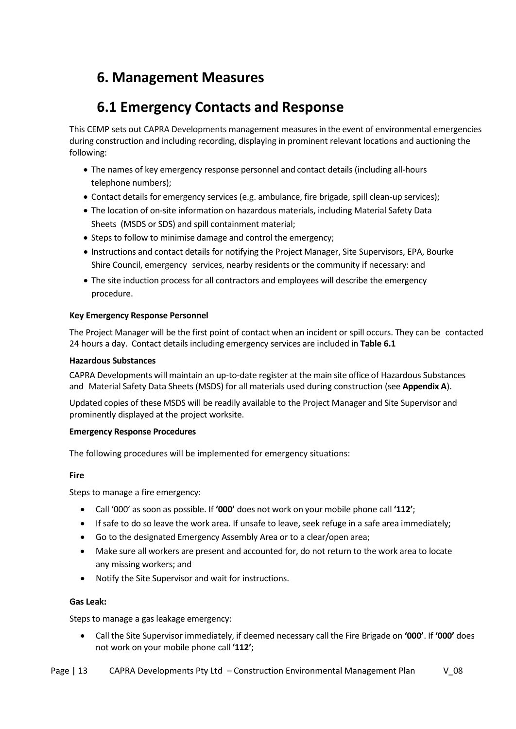# <span id="page-12-0"></span>**6. Management Measures**

# **6.1 Emergency Contacts and Response**

<span id="page-12-1"></span>This CEMP sets out CAPRA Developments management measures in the event of environmental emergencies during construction and including recording, displaying in prominent relevant locations and auctioning the following:

- The names of key emergency response personnel and contact details (including all-hours telephone numbers);
- Contact details for emergency services (e.g. ambulance, fire brigade, spill clean-up services);
- The location of on-site information on hazardous materials, including Material Safety Data Sheets (MSDS or SDS) and spill containment material;
- Steps to follow to minimise damage and control the emergency;
- Instructions and contact details for notifying the Project Manager, Site Supervisors, EPA, Bourke Shire Council, emergency services, nearby residents or the community if necessary: and
- The site induction process for all contractors and employees will describe the emergency procedure.

#### **Key Emergency Response Personnel**

The Project Manager will be the first point of contact when an incident or spill occurs. They can be contacted 24 hours a day. Contact details including emergency services are included in **Table 6.1**

#### **Hazardous Substances**

CAPRA Developments will maintain an up-to-date register at the main site office of Hazardous Substances and Material Safety Data Sheets (MSDS) for all materials used during construction (see **Appendix A**).

Updated copies of these MSDS will be readily available to the Project Manager and Site Supervisor and prominently displayed at the project worksite.

#### **Emergency Response Procedures**

The following procedures will be implemented for emergency situations:

#### **Fire**

Steps to manage a fire emergency:

- Call '000' as soon as possible. If **'000'** does not work on your mobile phone call **'112'**;
- If safe to do so leave the work area. If unsafe to leave, seek refuge in a safe area immediately;
- Go to the designated Emergency Assembly Area or to a clear/open area;
- Make sure all workers are present and accounted for, do not return to the work area to locate any missing workers; and
- Notify the Site Supervisor and wait for instructions.

#### **Gas Leak:**

Steps to manage a gas leakage emergency:

• Call the Site Supervisor immediately, if deemed necessary call the Fire Brigade on **'000'**. If **'000'** does not work on your mobile phone call **'112'**;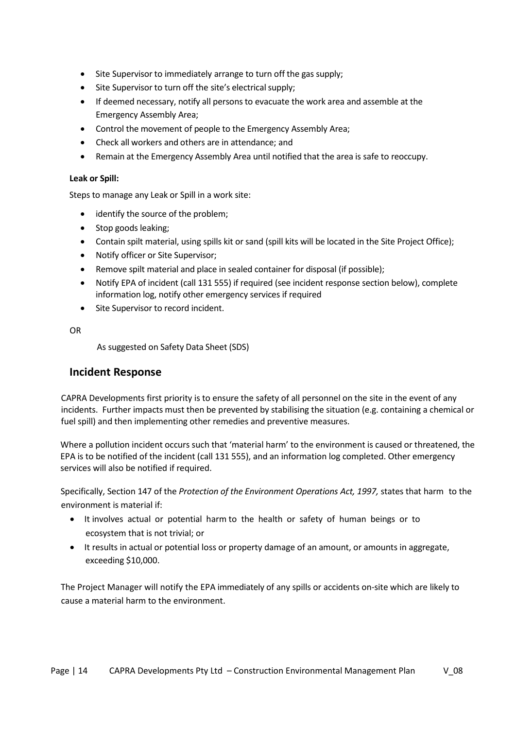- Site Supervisor to immediately arrange to turn off the gas supply;
- Site Supervisor to turn off the site's electrical supply;
- If deemed necessary, notify all persons to evacuate the work area and assemble at the Emergency Assembly Area;
- Control the movement of people to the Emergency Assembly Area;
- Check all workers and others are in attendance; and
- Remain at the Emergency Assembly Area until notified that the area is safe to reoccupy.

#### **Leak or Spill:**

Steps to manage any Leak or Spill in a work site:

- identify the source of the problem;
- Stop goods leaking;
- Contain spilt material, using spills kit or sand (spill kits will be located in the Site Project Office);
- Notify officer or Site Supervisor;
- Remove spilt material and place in sealed container for disposal (if possible);
- Notify EPA of incident (call 131 555) if required (see incident response section below), complete information log, notify other emergency services if required
- Site Supervisor to record incident.

OR

As suggested on Safety Data Sheet (SDS)

#### <span id="page-13-0"></span>**Incident Response**

CAPRA Developments first priority is to ensure the safety of all personnel on the site in the event of any incidents. Further impacts must then be prevented by stabilising the situation (e.g. containing a chemical or fuel spill) and then implementing other remedies and preventive measures.

Where a pollution incident occurs such that 'material harm' to the environment is caused or threatened, the EPA is to be notified of the incident (call 131 555), and an information log completed. Other emergency services will also be notified if required.

Specifically, Section 147 of the *Protection of the Environment Operations Act, 1997,* states that harm to the environment is material if:

- It involves actual or potential harm to the health or safety of human beings or to ecosystem that is not trivial; or
- It results in actual or potential loss or property damage of an amount, or amounts in aggregate, exceeding \$10,000.

The Project Manager will notify the EPA immediately of any spills or accidents on-site which are likely to cause a material harm to the environment.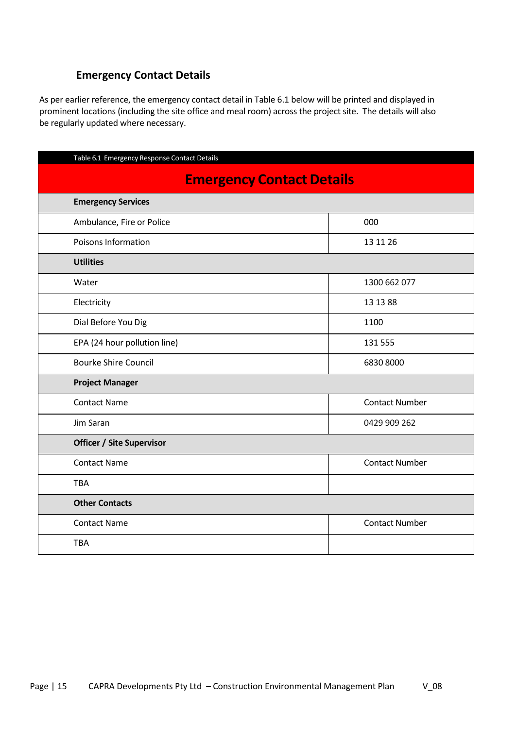### <span id="page-14-0"></span> **Emergency Contact Details**

As per earlier reference, the emergency contact detail in Table 6.1 below will be printed and displayed in prominent locations (including the site office and meal room) across the project site. The details will also be regularly updated where necessary.

| Table 6.1 Emergency Response Contact Details |                       |  |  |  |  |  |
|----------------------------------------------|-----------------------|--|--|--|--|--|
| <b>Emergency Contact Details</b>             |                       |  |  |  |  |  |
| <b>Emergency Services</b>                    |                       |  |  |  |  |  |
| Ambulance, Fire or Police                    | 000                   |  |  |  |  |  |
| Poisons Information                          | 13 11 26              |  |  |  |  |  |
| <b>Utilities</b>                             |                       |  |  |  |  |  |
| Water                                        | 1300 662 077          |  |  |  |  |  |
| Electricity                                  | 13 13 88              |  |  |  |  |  |
| Dial Before You Dig                          | 1100                  |  |  |  |  |  |
| EPA (24 hour pollution line)                 | 131 555               |  |  |  |  |  |
| <b>Bourke Shire Council</b>                  | 6830 8000             |  |  |  |  |  |
| <b>Project Manager</b>                       |                       |  |  |  |  |  |
| <b>Contact Name</b>                          | <b>Contact Number</b> |  |  |  |  |  |
| Jim Saran                                    | 0429 909 262          |  |  |  |  |  |
| <b>Officer / Site Supervisor</b>             |                       |  |  |  |  |  |
| <b>Contact Name</b>                          | <b>Contact Number</b> |  |  |  |  |  |
| <b>TBA</b>                                   |                       |  |  |  |  |  |
| <b>Other Contacts</b>                        |                       |  |  |  |  |  |
| <b>Contact Name</b>                          | <b>Contact Number</b> |  |  |  |  |  |
| <b>TBA</b>                                   |                       |  |  |  |  |  |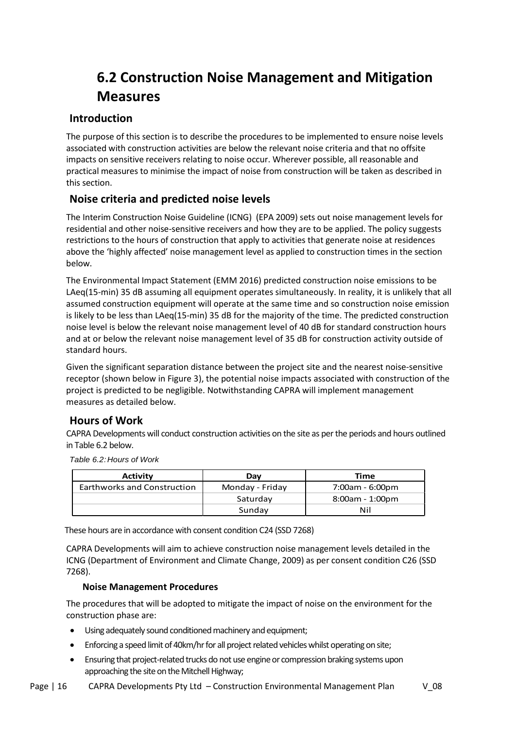# **6.2 Construction Noise Management and Mitigation Measures**

### <span id="page-15-1"></span><span id="page-15-0"></span>**Introduction**

The purpose of this section is to describe the procedures to be implemented to ensure noise levels associated with construction activities are below the relevant noise criteria and that no offsite impacts on sensitive receivers relating to noise occur. Wherever possible, all reasonable and practical measures to minimise the impact of noise from construction will be taken as described in this section.

### <span id="page-15-2"></span>**Noise criteria and predicted noise levels**

The Interim Construction Noise Guideline (ICNG) (EPA 2009) sets out noise management levels for residential and other noise-sensitive receivers and how they are to be applied. The policy suggests restrictions to the hours of construction that apply to activities that generate noise at residences above the 'highly affected' noise management level as applied to construction times in the section below.

The Environmental Impact Statement (EMM 2016) predicted construction noise emissions to be LAeq(15-min) 35 dB assuming all equipment operates simultaneously. In reality, it is unlikely that all assumed construction equipment will operate at the same time and so construction noise emission is likely to be less than LAeq(15-min) 35 dB for the majority of the time. The predicted construction noise level is below the relevant noise management level of 40 dB for standard construction hours and at or below the relevant noise management level of 35 dB for construction activity outside of standard hours.

Given the significant separation distance between the project site and the nearest noise-sensitive receptor (shown below in Figure 3), the potential noise impacts associated with construction of the project is predicted to be negligible. Notwithstanding CAPRA will implement management measures as detailed below.

### <span id="page-15-3"></span>**Hours of Work**

CAPRA Developments will conduct construction activities on the site as per the periods and hours outlined in Table 6.2 below.

Table 6.2:Hours of Work

| Activity                    | Dav             | Time              |  |
|-----------------------------|-----------------|-------------------|--|
| Earthworks and Construction | Monday - Friday | 7:00am - 6:00pm   |  |
|                             | Saturday        | $8:00am - 1:00pm$ |  |
|                             | Sundav          | Nil               |  |

These hours are in accordance with consent condition C24 (SSD 7268)

CAPRA Developments will aim to achieve construction noise management levels detailed in the ICNG (Department of Environment and Climate Change, 2009) as per consent condition C26 (SSD 7268).

#### **Noise Management Procedures**

The procedures that will be adopted to mitigate the impact of noise on the environment for the construction phase are:

- Using adequately sound conditioned machinery and equipment;
- Enforcing a speed limit of 40km/hr for all project related vehicles whilst operating on site;
- Ensuring that project-related trucks do not use engine or compression braking systems upon approaching the site on the Mitchell Highway;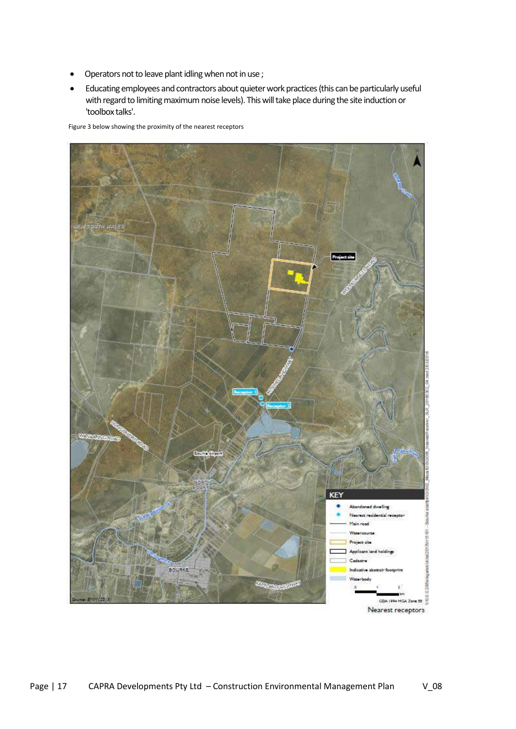- Operators not to leave plant idling when not in use ;
- Educating employees and contractors about quieter work practices (this can be particularly useful with regard to limiting maximum noise levels). Thiswill take place during the site induction or 'toolbox talks'.

Figure 3 below showing the proximity of the nearest receptors

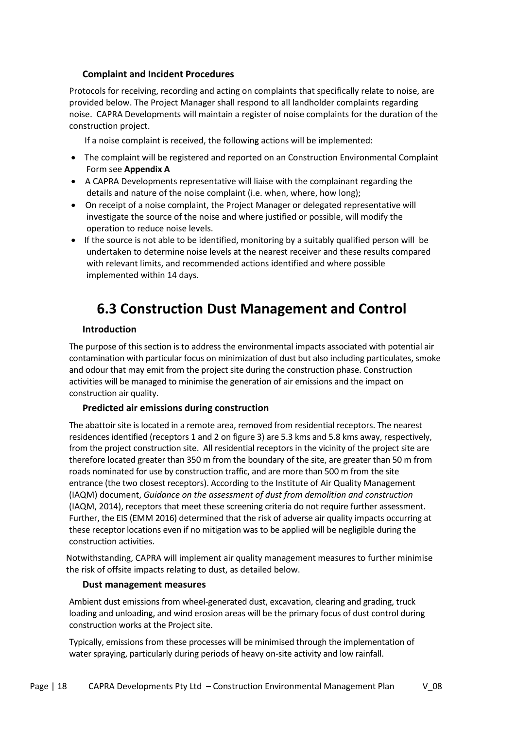#### **Complaint and Incident Procedures**

Protocols for receiving, recording and acting on complaints that specifically relate to noise, are provided below. The Project Manager shall respond to all landholder complaints regarding noise. CAPRA Developments will maintain a register of noise complaints for the duration of the construction project.

If a noise complaint is received, the following actions will be implemented:

- The complaint will be registered and reported on an Construction Environmental Complaint Form see **Appendix A**
- A CAPRA Developments representative will liaise with the complainant regarding the details and nature of the noise complaint (i.e. when, where, how long);
- On receipt of a noise complaint, the Project Manager or delegated representative will investigate the source of the noise and where justified or possible, will modify the operation to reduce noise levels.
- If the source is not able to be identified, monitoring by a suitably qualified person will be undertaken to determine noise levels at the nearest receiver and these results compared with relevant limits, and recommended actions identified and where possible implemented within 14 days.

# **6.3 Construction Dust Management and Control**

#### **Introduction**

<span id="page-17-0"></span>The purpose of this section is to address the environmental impacts associated with potential air contamination with particular focus on minimization of dust but also including particulates, smoke and odour that may emit from the project site during the construction phase. Construction activities will be managed to minimise the generation of air emissions and the impact on construction air quality.

#### **Predicted air emissions during construction**

The abattoir site is located in a remote area, removed from residential receptors. The nearest residences identified (receptors 1 and 2 on figure 3) are 5.3 kms and 5.8 kms away, respectively, from the project construction site. All residential receptors in the vicinity of the project site are therefore located greater than 350 m from the boundary of the site, are greater than 50 m from roads nominated for use by construction traffic, and are more than 500 m from the site entrance (the two closest receptors). According to the Institute of Air Quality Management (IAQM) document, *Guidance on the assessment of dust from demolition and construction* (IAQM, 2014), receptors that meet these screening criteria do not require further assessment. Further, the EIS (EMM 2016) determined that the risk of adverse air quality impacts occurring at these receptor locations even if no mitigation was to be applied will be negligible during the construction activities.

Notwithstanding, CAPRA will implement air quality management measures to further minimise the risk of offsite impacts relating to dust, as detailed below.

#### **Dust management measures**

Ambient dust emissions from wheel-generated dust, excavation, clearing and grading, truck loading and unloading, and wind erosion areas will be the primary focus of dust control during construction works at the Project site.

Typically, emissions from these processes will be minimised through the implementation of water spraying, particularly during periods of heavy on-site activity and low rainfall.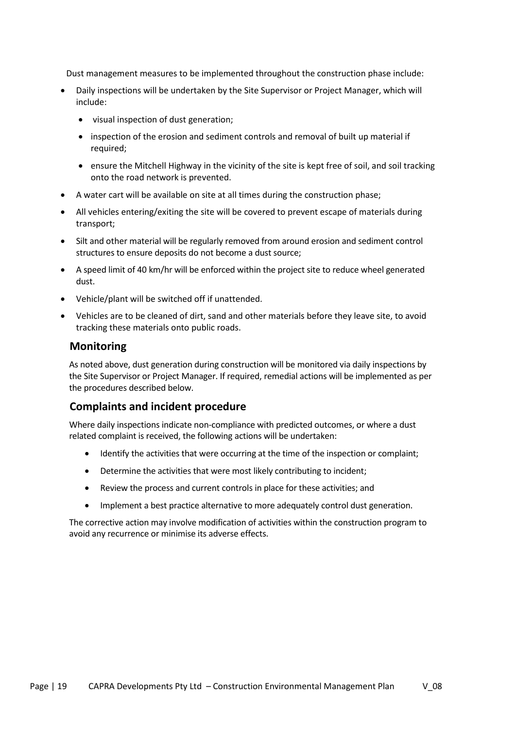Dust management measures to be implemented throughout the construction phase include:

- Daily inspections will be undertaken by the Site Supervisor or Project Manager, which will include:
	- visual inspection of dust generation;
	- inspection of the erosion and sediment controls and removal of built up material if required;
	- ensure the Mitchell Highway in the vicinity of the site is kept free of soil, and soil tracking onto the road network is prevented.
- A water cart will be available on site at all times during the construction phase;
- All vehicles entering/exiting the site will be covered to prevent escape of materials during transport;
- Silt and other material will be regularly removed from around erosion and sediment control structures to ensure deposits do not become a dust source;
- A speed limit of 40 km/hr will be enforced within the project site to reduce wheel generated dust.
- Vehicle/plant will be switched off if unattended.
- <span id="page-18-0"></span>• Vehicles are to be cleaned of dirt, sand and other materials before they leave site, to avoid tracking these materials onto public roads.

#### **Monitoring**

As noted above, dust generation during construction will be monitored via daily inspections by the Site Supervisor or Project Manager. If required, remedial actions will be implemented as per the procedures described below.

#### <span id="page-18-1"></span>**Complaints and incident procedure**

Where daily inspections indicate non-compliance with predicted outcomes, or where a dust related complaint is received, the following actions will be undertaken:

- Identify the activities that were occurring at the time of the inspection or complaint;
- Determine the activities that were most likely contributing to incident;
- Review the process and current controls in place for these activities; and
- Implement a best practice alternative to more adequately control dust generation.

The corrective action may involve modification of activities within the construction program to avoid any recurrence or minimise its adverse effects.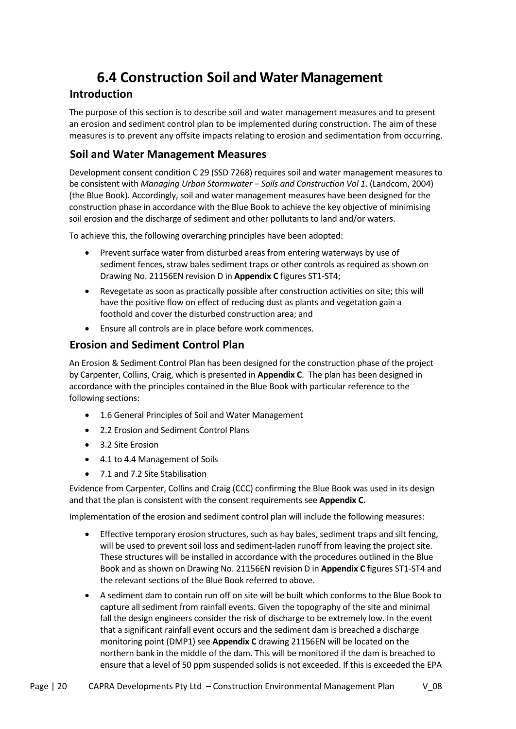# **6.4 Construction Soil and Water Management**

### <span id="page-19-1"></span><span id="page-19-0"></span>**Introduction**

The purpose of this section is to describe soil and water management measures and to present an erosion and sediment control plan to be implemented during construction. The aim of these measures is to prevent any offsite impacts relating to erosion and sedimentation from occurring.

### **Soil and Water Management Measures**

Development consent condition C 29 (SSD 7268) requires soil and water management measures to be consistent with *Managing Urban Stormwater – Soils and Construction Vol 1*. (Landcom, 2004) (the Blue Book). Accordingly, soil and water management measures have been designed for the construction phase in accordance with the Blue Book to achieve the key objective of minimising soil erosion and the discharge of sediment and other pollutants to land and/or waters.

To achieve this, the following overarching principles have been adopted:

- Prevent surface water from disturbed areas from entering waterways by use of sediment fences, straw bales sediment traps or other controls as required as shown on Drawing No. 21156EN revision D in **Appendix C** figures ST1-ST4;
- Revegetate as soon as practically possible after construction activities on site; this will have the positive flow on effect of reducing dust as plants and vegetation gain a foothold and cover the disturbed construction area; and
- Ensure all controls are in place before work commences.

### <span id="page-19-2"></span>**Erosion and Sediment Control Plan**

An Erosion & Sediment Control Plan has been designed for the construction phase of the project by Carpenter, Collins, Craig, which is presented in **Appendix C**. The plan has been designed in accordance with the principles contained in the Blue Book with particular reference to the following sections:

- 1.6 General Principles of Soil and Water Management
- 2.2 Erosion and Sediment Control Plans
- 3.2 Site Erosion
- 4.1 to 4.4 Management of Soils
- 7.1 and 7.2 Site Stabilisation

Evidence from Carpenter, Collins and Craig (CCC) confirming the Blue Book was used in its design and that the plan is consistent with the consent requirements see **Appendix C.**

Implementation of the erosion and sediment control plan will include the following measures:

- Effective temporary erosion structures, such as hay bales, sediment traps and silt fencing, will be used to prevent soil loss and sediment-laden runoff from leaving the project site. These structures will be installed in accordance with the procedures outlined in the Blue Book and as shown on Drawing No. 21156EN revision D in **Appendix C** figures ST1-ST4 and the relevant sections of the Blue Book referred to above.
- A sediment dam to contain run off on site will be built which conforms to the Blue Book to capture all sediment from rainfall events. Given the topography of the site and minimal fall the design engineers consider the risk of discharge to be extremely low. In the event that a significant rainfall event occurs and the sediment dam is breached a discharge monitoring point (DMP1) see **Appendix C** drawing 21156EN will be located on the northern bank in the middle of the dam. This will be monitored if the dam is breached to ensure that a level of 50 ppm suspended solids is not exceeded. If this is exceeded the EPA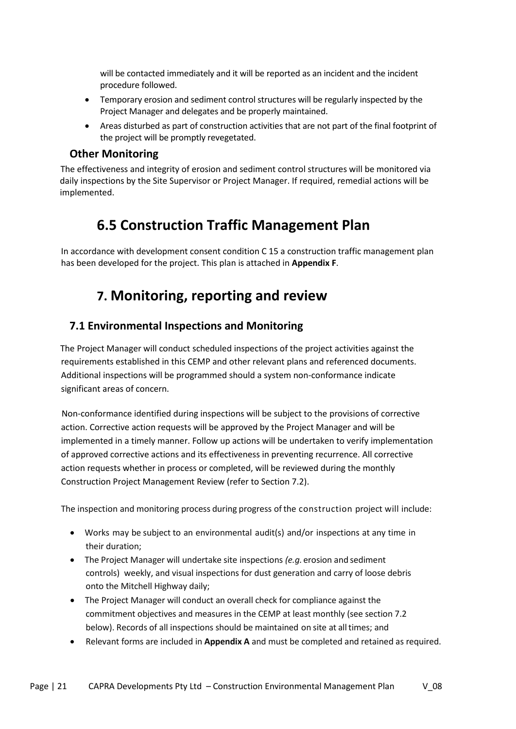will be contacted immediately and it will be reported as an incident and the incident procedure followed.

- Temporary erosion and sediment control structures will be regularly inspected by the Project Manager and delegates and be properly maintained.
- Areas disturbed as part of construction activities that are not part of the final footprint of the project will be promptly revegetated.

#### **Other Monitoring**

<span id="page-20-0"></span>The effectiveness and integrity of erosion and sediment control structures will be monitored via daily inspections by the Site Supervisor or Project Manager. If required, remedial actions will be implemented.

## **6.5 Construction Traffic Management Plan**

<span id="page-20-2"></span><span id="page-20-1"></span>In accordance with development consent condition C 15 a construction traffic management plan has been developed for the project. This plan is attached in **Appendix F**.

### **7. Monitoring, reporting and review**

### <span id="page-20-3"></span>**7.1 Environmental Inspections and Monitoring**

The Project Manager will conduct scheduled inspections of the project activities against the requirements established in this CEMP and other relevant plans and referenced documents. Additional inspections will be programmed should a system non-conformance indicate significant areas of concern.

Non-conformance identified during inspections will be subject to the provisions of corrective action. Corrective action requests will be approved by the Project Manager and will be implemented in a timely manner. Follow up actions will be undertaken to verify implementation of approved corrective actions and its effectiveness in preventing recurrence. All corrective action requests whether in process or completed, will be reviewed during the monthly Construction Project Management Review (refer to Section 7.2).

The inspection and monitoring process during progress ofthe construction project will include:

- Works may be subject to an environmental audit(s) and/or inspections at any time in their duration;
- The Project Manager will undertake site inspections *(e.g.* erosion and sediment controls) weekly, and visual inspections for dust generation and carry of loose debris onto the Mitchell Highway daily;
- The Project Manager will conduct an overall check for compliance against the commitment objectives and measures in the CEMP at least monthly (see section 7.2 below). Records of all inspections should be maintained on site at alltimes; and
- Relevant forms are included in **Appendix A** and must be completed and retained as required.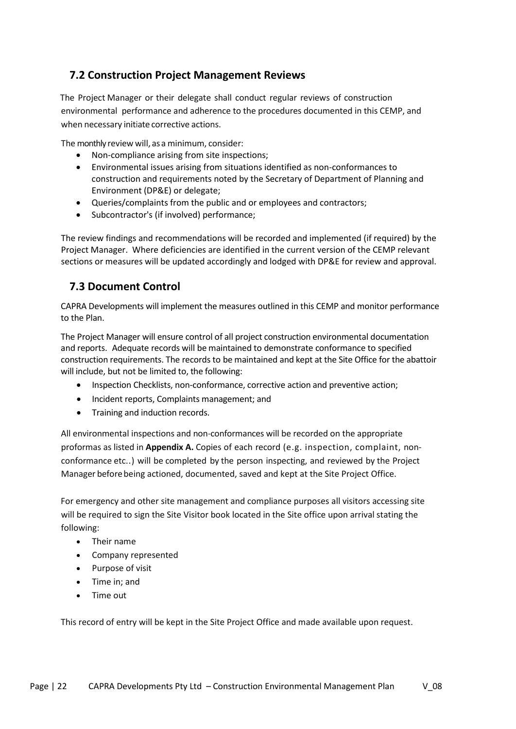### <span id="page-21-0"></span>**7.2 Construction Project Management Reviews**

The Project Manager or their delegate shall conduct regular reviews of construction environmental performance and adherence to the procedures documented in this CEMP, and when necessary initiate corrective actions.

The monthly review will, as a minimum, consider:

- Non-compliance arising from site inspections;
- Environmental issues arising from situations identified as non-conformances to construction and requirements noted by the Secretary of Department of Planning and Environment (DP&E) or delegate;
- Queries/complaints from the public and or employees and contractors;
- Subcontractor's (if involved) performance;

The review findings and recommendations will be recorded and implemented (if required) by the Project Manager. Where deficiencies are identified in the current version of the CEMP relevant sections or measures will be updated accordingly and lodged with DP&E for review and approval.

### **7.3 Document Control**

<span id="page-21-1"></span>CAPRA Developments will implement the measures outlined in this CEMP and monitor performance to the Plan.

The Project Manager will ensure control of all project construction environmental documentation and reports. Adequate records will be maintained to demonstrate conformance to specified construction requirements. The records to be maintained and kept at the Site Office for the abattoir will include, but not be limited to, the following:

- Inspection Checklists, non-conformance, corrective action and preventive action;
- Incident reports, Complaints management; and
- Training and induction records.

All environmental inspections and non-conformances will be recorded on the appropriate proformas as listed in **Appendix A.** Copies of each record (e.g. inspection, complaint, nonconformance etc..) will be completed by the person inspecting, and reviewed by the Project Manager beforebeing actioned, documented, saved and kept at the Site Project Office.

For emergency and other site management and compliance purposes all visitors accessing site will be required to sign the Site Visitor book located in the Site office upon arrival stating the following:

- Their name
- Company represented
- Purpose of visit
- Time in; and
- Time out

This record of entry will be kept in the Site Project Office and made available upon request.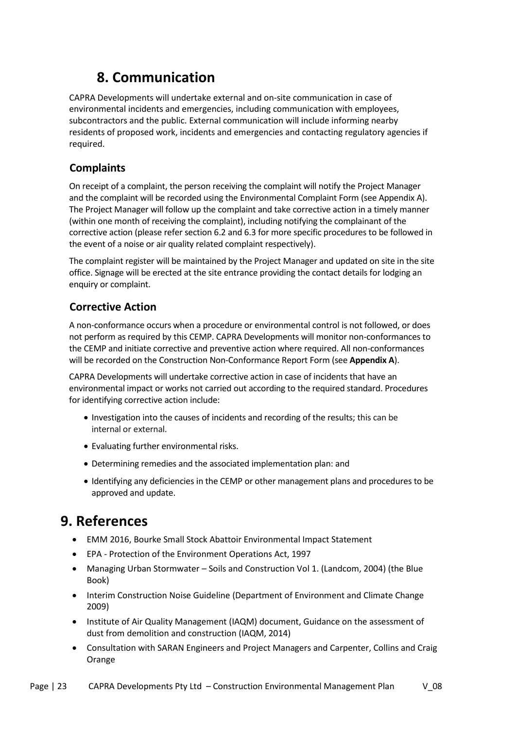# **8. Communication**

<span id="page-22-0"></span>CAPRA Developments will undertake external and on-site communication in case of environmental incidents and emergencies, including communication with employees, subcontractors and the public. External communication will include informing nearby residents of proposed work, incidents and emergencies and contacting regulatory agencies if required.

### <span id="page-22-1"></span>**Complaints**

On receipt of a complaint, the person receiving the complaint will notify the Project Manager and the complaint will be recorded using the Environmental Complaint Form (see Appendix A). The Project Manager will follow up the complaint and take corrective action in a timely manner (within one month of receiving the complaint), including notifying the complainant of the corrective action (please refer section 6.2 and 6.3 for more specific procedures to be followed in the event of a noise or air quality related complaint respectively).

The complaint register will be maintained by the Project Manager and updated on site in the site office. Signage will be erected at the site entrance providing the contact details for lodging an enquiry or complaint.

### <span id="page-22-2"></span>**Corrective Action**

A non-conformance occurs when a procedure or environmental control is not followed, or does not perform as required by this CEMP. CAPRA Developments will monitor non-conformances to the CEMP and initiate corrective and preventive action where required. All non-conformances will be recorded on the Construction Non-Conformance Report Form (see **Appendix A**).

CAPRA Developments will undertake corrective action in case of incidents that have an environmental impact or works not carried out according to the required standard. Procedures for identifying corrective action include:

- Investigation into the causes of incidents and recording of the results; this can be internal or external.
- Evaluating further environmental risks.
- Determining remedies and the associated implementation plan: and
- Identifying any deficiencies in the CEMP or other management plans and procedures to be approved and update.

# <span id="page-22-3"></span>**9. References**

- EMM 2016, Bourke Small Stock Abattoir Environmental Impact Statement
- EPA Protection of the Environment Operations Act, 1997
- Managing Urban Stormwater Soils and Construction Vol 1. (Landcom, 2004) (the Blue Book)
- Interim Construction Noise Guideline (Department of Environment and Climate Change 2009)
- Institute of Air Quality Management (IAQM) document, Guidance on the assessment of dust from demolition and construction (IAQM, 2014)
- Consultation with SARAN Engineers and Project Managers and Carpenter, Collins and Craig Orange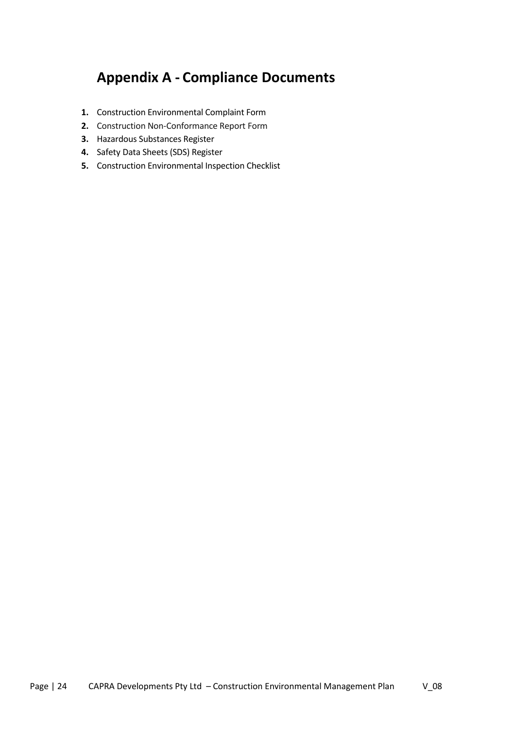# **Appendix A - Compliance Documents**

- <span id="page-23-0"></span>**1.** Construction Environmental Complaint Form
- **2.** Construction Non-Conformance Report Form
- **3.** Hazardous Substances Register
- **4.** Safety Data Sheets (SDS) Register
- **5.** Construction Environmental Inspection Checklist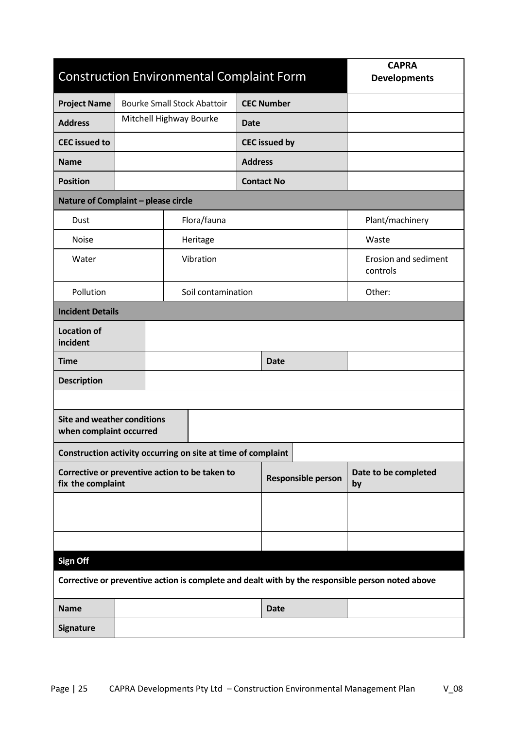| <b>Construction Environmental Complaint Form</b>                                                 |                                    |  |                    |                   |                      |                    | <b>CAPRA</b><br><b>Developments</b> |  |
|--------------------------------------------------------------------------------------------------|------------------------------------|--|--------------------|-------------------|----------------------|--------------------|-------------------------------------|--|
| <b>Project Name</b>                                                                              | <b>Bourke Small Stock Abattoir</b> |  |                    | <b>CEC Number</b> |                      |                    |                                     |  |
| <b>Address</b>                                                                                   | Mitchell Highway Bourke            |  |                    | <b>Date</b>       |                      |                    |                                     |  |
| <b>CEC</b> issued to                                                                             |                                    |  |                    |                   | <b>CEC</b> issued by |                    |                                     |  |
| <b>Name</b>                                                                                      |                                    |  |                    | <b>Address</b>    |                      |                    |                                     |  |
| <b>Position</b>                                                                                  |                                    |  |                    |                   | <b>Contact No</b>    |                    |                                     |  |
| Nature of Complaint - please circle                                                              |                                    |  |                    |                   |                      |                    |                                     |  |
| Dust                                                                                             |                                    |  | Flora/fauna        |                   |                      |                    | Plant/machinery                     |  |
| <b>Noise</b>                                                                                     |                                    |  | Heritage           |                   |                      |                    | Waste                               |  |
| Water                                                                                            |                                    |  | Vibration          |                   |                      |                    | Erosion and sediment<br>controls    |  |
| Pollution                                                                                        |                                    |  | Soil contamination |                   |                      |                    | Other:                              |  |
| <b>Incident Details</b>                                                                          |                                    |  |                    |                   |                      |                    |                                     |  |
| <b>Location of</b><br>incident                                                                   |                                    |  |                    |                   |                      |                    |                                     |  |
| <b>Time</b>                                                                                      |                                    |  |                    |                   | Date                 |                    |                                     |  |
| <b>Description</b>                                                                               |                                    |  |                    |                   |                      |                    |                                     |  |
|                                                                                                  |                                    |  |                    |                   |                      |                    |                                     |  |
| <b>Site and weather conditions</b><br>when complaint occurred                                    |                                    |  |                    |                   |                      |                    |                                     |  |
| Construction activity occurring on site at time of complaint                                     |                                    |  |                    |                   |                      |                    |                                     |  |
| Corrective or preventive action to be taken to<br>fix the complaint                              |                                    |  |                    |                   |                      | Responsible person | Date to be completed<br>by          |  |
|                                                                                                  |                                    |  |                    |                   |                      |                    |                                     |  |
|                                                                                                  |                                    |  |                    |                   |                      |                    |                                     |  |
|                                                                                                  |                                    |  |                    |                   |                      |                    |                                     |  |
| <b>Sign Off</b>                                                                                  |                                    |  |                    |                   |                      |                    |                                     |  |
| Corrective or preventive action is complete and dealt with by the responsible person noted above |                                    |  |                    |                   |                      |                    |                                     |  |
| <b>Name</b>                                                                                      |                                    |  |                    | <b>Date</b>       |                      |                    |                                     |  |
| <b>Signature</b>                                                                                 |                                    |  |                    |                   |                      |                    |                                     |  |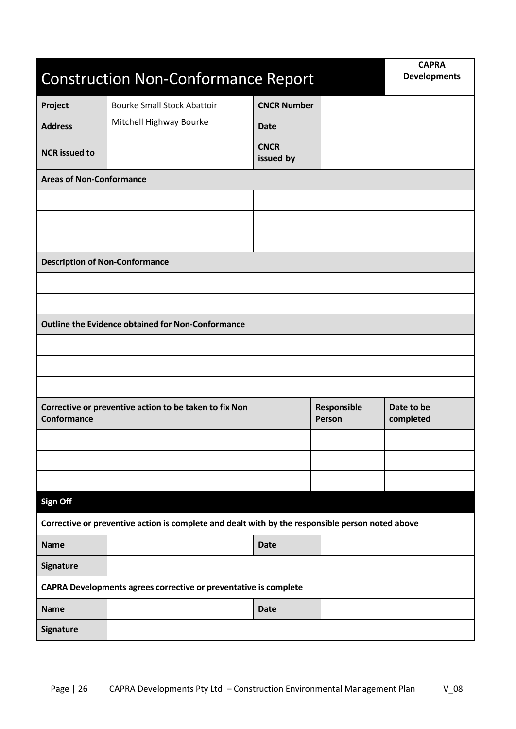| <b>Construction Non-Conformance Report</b>                                                       | <b>CAPRA</b><br><b>Developments</b>                      |                          |  |  |  |  |  |
|--------------------------------------------------------------------------------------------------|----------------------------------------------------------|--------------------------|--|--|--|--|--|
| Project                                                                                          | <b>Bourke Small Stock Abattoir</b>                       | <b>CNCR Number</b>       |  |  |  |  |  |
| <b>Address</b>                                                                                   | Mitchell Highway Bourke                                  | <b>Date</b>              |  |  |  |  |  |
| <b>NCR</b> issued to                                                                             |                                                          | <b>CNCR</b><br>issued by |  |  |  |  |  |
| <b>Areas of Non-Conformance</b>                                                                  |                                                          |                          |  |  |  |  |  |
|                                                                                                  |                                                          |                          |  |  |  |  |  |
|                                                                                                  |                                                          |                          |  |  |  |  |  |
|                                                                                                  |                                                          |                          |  |  |  |  |  |
| <b>Description of Non-Conformance</b>                                                            |                                                          |                          |  |  |  |  |  |
|                                                                                                  |                                                          |                          |  |  |  |  |  |
|                                                                                                  |                                                          |                          |  |  |  |  |  |
|                                                                                                  | <b>Outline the Evidence obtained for Non-Conformance</b> |                          |  |  |  |  |  |
|                                                                                                  |                                                          |                          |  |  |  |  |  |
|                                                                                                  |                                                          |                          |  |  |  |  |  |
|                                                                                                  |                                                          |                          |  |  |  |  |  |
| Corrective or preventive action to be taken to fix Non<br>Conformance                            | Responsible<br>Person                                    | Date to be<br>completed  |  |  |  |  |  |
|                                                                                                  |                                                          |                          |  |  |  |  |  |
|                                                                                                  |                                                          |                          |  |  |  |  |  |
|                                                                                                  |                                                          |                          |  |  |  |  |  |
| Sign Off                                                                                         |                                                          |                          |  |  |  |  |  |
| Corrective or preventive action is complete and dealt with by the responsible person noted above |                                                          |                          |  |  |  |  |  |
| <b>Name</b>                                                                                      |                                                          | <b>Date</b>              |  |  |  |  |  |
| <b>Signature</b>                                                                                 |                                                          |                          |  |  |  |  |  |
| CAPRA Developments agrees corrective or preventative is complete                                 |                                                          |                          |  |  |  |  |  |
| <b>Name</b>                                                                                      |                                                          | <b>Date</b>              |  |  |  |  |  |
| Signature                                                                                        |                                                          |                          |  |  |  |  |  |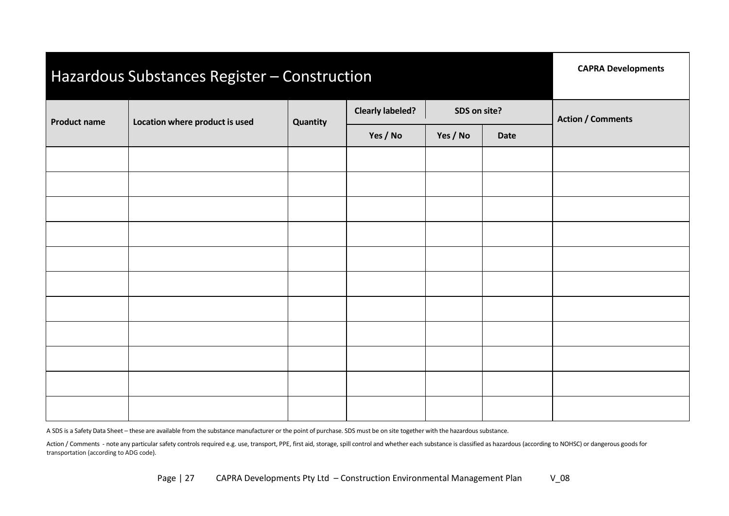| Hazardous Substances Register - Construction | <b>CAPRA Developments</b>      |          |                                         |          |             |                          |  |
|----------------------------------------------|--------------------------------|----------|-----------------------------------------|----------|-------------|--------------------------|--|
| <b>Product name</b>                          | Location where product is used | Quantity | <b>Clearly labeled?</b><br>SDS on site? |          |             | <b>Action / Comments</b> |  |
|                                              |                                |          | Yes / No                                | Yes / No | <b>Date</b> |                          |  |
|                                              |                                |          |                                         |          |             |                          |  |
|                                              |                                |          |                                         |          |             |                          |  |
|                                              |                                |          |                                         |          |             |                          |  |
|                                              |                                |          |                                         |          |             |                          |  |
|                                              |                                |          |                                         |          |             |                          |  |
|                                              |                                |          |                                         |          |             |                          |  |
|                                              |                                |          |                                         |          |             |                          |  |
|                                              |                                |          |                                         |          |             |                          |  |
|                                              |                                |          |                                         |          |             |                          |  |
|                                              |                                |          |                                         |          |             |                          |  |
|                                              |                                |          |                                         |          |             |                          |  |

A SDS is a Safety Data Sheet – these are available from the substance manufacturer or the point of purchase. SDS must be on site together with the hazardoussubstance.

Action / Comments - note any particular safety controls required e.g. use, transport, PPE, first aid, storage, spill control and whether each substance is classified as hazardous (according to NOHSC) or dangerous goods for transportation (according to ADG code).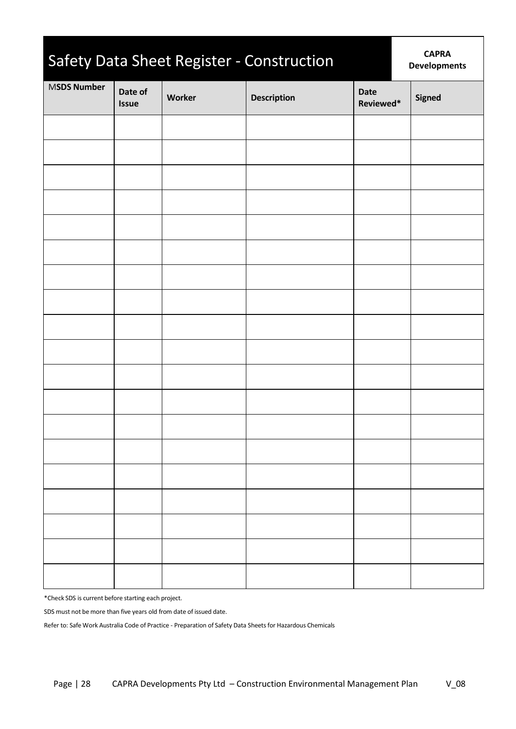| Safety Data Sheet Register - Construction |                         | <b>CAPRA</b><br><b>Developments</b> |                    |                          |        |
|-------------------------------------------|-------------------------|-------------------------------------|--------------------|--------------------------|--------|
| <b>MSDS Number</b>                        | Date of<br><b>Issue</b> | Worker                              | <b>Description</b> | <b>Date</b><br>Reviewed* | Signed |
|                                           |                         |                                     |                    |                          |        |
|                                           |                         |                                     |                    |                          |        |
|                                           |                         |                                     |                    |                          |        |
|                                           |                         |                                     |                    |                          |        |
|                                           |                         |                                     |                    |                          |        |
|                                           |                         |                                     |                    |                          |        |
|                                           |                         |                                     |                    |                          |        |
|                                           |                         |                                     |                    |                          |        |
|                                           |                         |                                     |                    |                          |        |
|                                           |                         |                                     |                    |                          |        |
|                                           |                         |                                     |                    |                          |        |
|                                           |                         |                                     |                    |                          |        |
|                                           |                         |                                     |                    |                          |        |
|                                           |                         |                                     |                    |                          |        |
|                                           |                         |                                     |                    |                          |        |
|                                           |                         |                                     |                    |                          |        |
|                                           |                         |                                     |                    |                          |        |
|                                           |                         |                                     |                    |                          |        |
|                                           |                         |                                     |                    |                          |        |

\*Check SDS is current before starting each project.

SDS must not be more than five years old from date of issued date.

Refer to: Safe Work Australia Code of Practice - Preparation of Safety Data Sheets for Hazardous Chemicals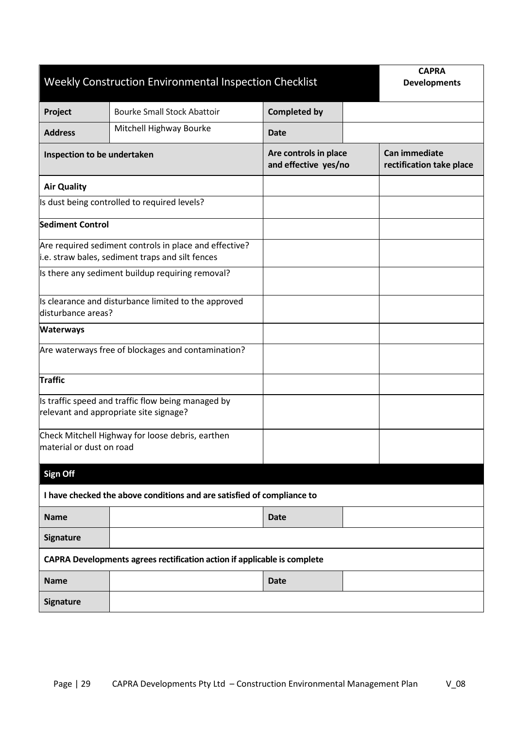| Weekly Construction Environmental Inspection Checklist                   | <b>CAPRA</b><br><b>Developments</b>                                                                        |                                               |  |                                           |  |  |  |  |
|--------------------------------------------------------------------------|------------------------------------------------------------------------------------------------------------|-----------------------------------------------|--|-------------------------------------------|--|--|--|--|
| Project                                                                  | <b>Bourke Small Stock Abattoir</b>                                                                         | <b>Completed by</b>                           |  |                                           |  |  |  |  |
| <b>Address</b>                                                           | Mitchell Highway Bourke                                                                                    | <b>Date</b>                                   |  |                                           |  |  |  |  |
| Inspection to be undertaken                                              |                                                                                                            | Are controls in place<br>and effective yes/no |  | Can immediate<br>rectification take place |  |  |  |  |
| <b>Air Quality</b>                                                       |                                                                                                            |                                               |  |                                           |  |  |  |  |
|                                                                          | Is dust being controlled to required levels?                                                               |                                               |  |                                           |  |  |  |  |
| <b>Sediment Control</b>                                                  |                                                                                                            |                                               |  |                                           |  |  |  |  |
|                                                                          | Are required sediment controls in place and effective?<br>i.e. straw bales, sediment traps and silt fences |                                               |  |                                           |  |  |  |  |
|                                                                          | Is there any sediment buildup requiring removal?                                                           |                                               |  |                                           |  |  |  |  |
| disturbance areas?                                                       | Is clearance and disturbance limited to the approved                                                       |                                               |  |                                           |  |  |  |  |
| <b>Waterways</b>                                                         |                                                                                                            |                                               |  |                                           |  |  |  |  |
|                                                                          | Are waterways free of blockages and contamination?                                                         |                                               |  |                                           |  |  |  |  |
| Traffic                                                                  |                                                                                                            |                                               |  |                                           |  |  |  |  |
|                                                                          | Is traffic speed and traffic flow being managed by<br>relevant and appropriate site signage?               |                                               |  |                                           |  |  |  |  |
| material or dust on road                                                 | Check Mitchell Highway for loose debris, earthen                                                           |                                               |  |                                           |  |  |  |  |
| <b>Sign Off</b>                                                          |                                                                                                            |                                               |  |                                           |  |  |  |  |
|                                                                          | I have checked the above conditions and are satisfied of compliance to                                     |                                               |  |                                           |  |  |  |  |
| <b>Name</b>                                                              | <b>Date</b>                                                                                                |                                               |  |                                           |  |  |  |  |
| Signature                                                                |                                                                                                            |                                               |  |                                           |  |  |  |  |
| CAPRA Developments agrees rectification action if applicable is complete |                                                                                                            |                                               |  |                                           |  |  |  |  |
| <b>Name</b>                                                              |                                                                                                            | <b>Date</b>                                   |  |                                           |  |  |  |  |
| <b>Signature</b>                                                         |                                                                                                            |                                               |  |                                           |  |  |  |  |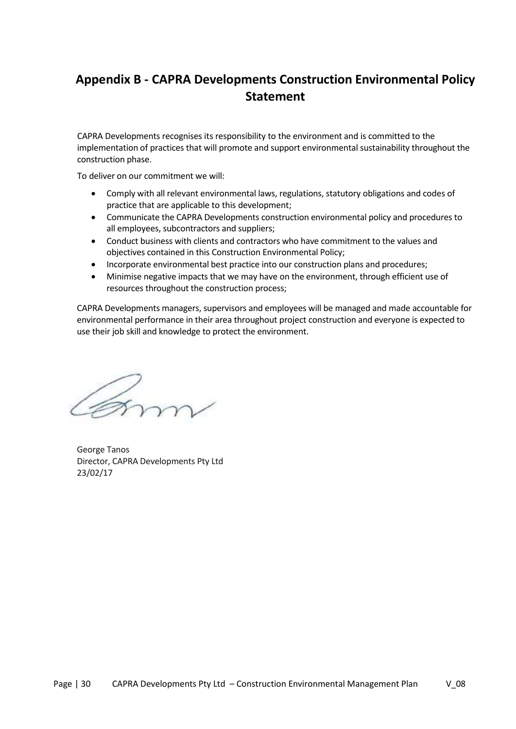## <span id="page-29-0"></span>**Appendix B - CAPRA Developments Construction Environmental Policy Statement**

CAPRA Developments recognises its responsibility to the environment and is committed to the implementation of practices that will promote and support environmental sustainability throughout the construction phase.

To deliver on our commitment we will:

- Comply with all relevant environmental laws, regulations, statutory obligations and codes of practice that are applicable to this development;
- Communicate the CAPRA Developments construction environmental policy and procedures to all employees, subcontractors and suppliers;
- Conduct business with clients and contractors who have commitment to the values and objectives contained in this Construction Environmental Policy;
- Incorporate environmental best practice into our construction plans and procedures;
- Minimise negative impacts that we may have on the environment, through efficient use of resources throughout the construction process;

CAPRA Developments managers, supervisors and employees will be managed and made accountable for environmental performance in their area throughout project construction and everyone is expected to use their job skill and knowledge to protect the environment.

form.

George Tanos Director, CAPRA Developments Pty Ltd 23/02/17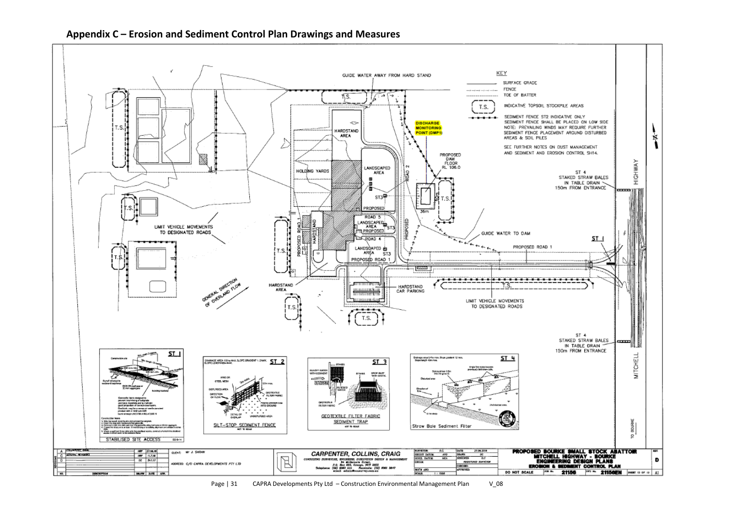

<span id="page-30-0"></span> **Appendix C – Erosion and Sediment Control Plan Drawings and Measures**

Page | 31 CAPRA Developments Pty Ltd – Construction Environmental Management Plan V\_08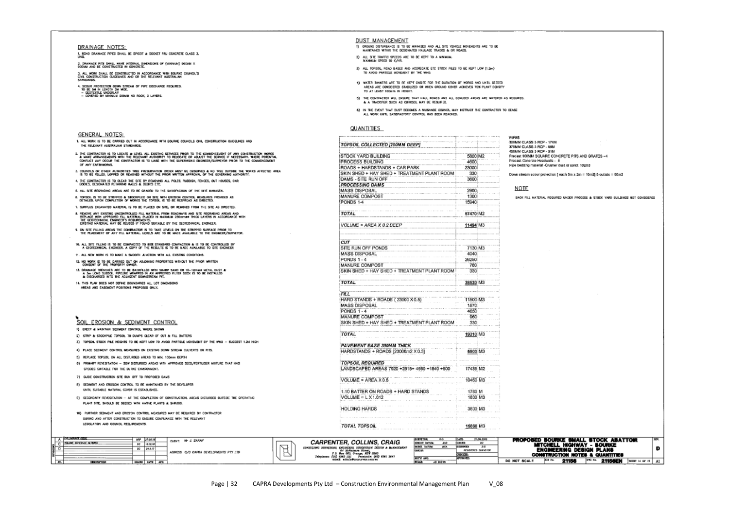#### DRAINAGE NOTES:

1. ROAD DRANAGE PIPES SHALL BE SPIGOT & SOCKET RRJ CONCRETE CLASS 3.

2. DRAINAGE PITS SHALL HAVE INTERNAL DIAENSIONS OF (MINIMUM) 900MM X<br>900MM AND BE CONSTRUCTED IN CONCRETE.

3. ALL WORK SHALL DE CONSTRUCTED IN ACCORDANCE WITH DIGURAT, COUNCIL'S<br>CHAL CONSTRUCTION GUIDELINES AND OR THE RELEVANT AUSTRALIAN<br>STANDARDS

- 
- 4. Scour protection down stream of PIPE discharge required.<br>To be sai in Lengoray wide.<br>= Covered by Minimum 200mm nd Rock, 2 Layers.<br>= Covered by Minimum 200mm nd Rock, 2 Layers.
- 

#### GENERAL NOTES:

|  |  |                                    |  |  |  | 1. ALL WORK IS TO BE CARRED OUT IN ACCORDANCE WITH BOURKE COUNCILS CIVIL CONSTRUCTION GUIDELINES AND |  |
|--|--|------------------------------------|--|--|--|------------------------------------------------------------------------------------------------------|--|
|  |  | THE RELEVANT AUSTRALIAN STANDARDS. |  |  |  |                                                                                                      |  |

- 2. THE CONTRACTOR IS TO LOCATE & LEVEL ALL EXISTING SERVICES PROR TO THE CONNENCEMENT OF ANY CONSTRUCTION WORKS<br>A MAKE ARRANGEMENTS WITH THE RELEVANT AUTHORITY TO RELOCATE OR ADJUST THE SERVICE IF MECESSARY. WHERE POTENTIA CONFUCT WAY OCCUR THE CONTRACTOR IS TO LASE WITH THE SUPERVISING ENGINEER/SURVEYOR PRIOR TO THE COMMENCEMENT
- OF ANY EARTHWORKS.

Page | 32 CAPRA Developments Pty Ltd – Construction Environmental Management Plan V\_08

**DUST MANAGEMENT** 

**QUANTITIES** 

**STOCK YARD BUILDING** 

PROCESS BUILDING

DAMS - SITE RUN OFF

**PROCESSING DAMS** 

MANURE COMPOST

VOLUME = AREA X 0.2 DEEP

SITE RUN OFF PONDS

MANURE COMPOST

MASS DISPOSAL

MASS DISPOSAL

MANURE COMPOST

**TOPSOIL REQUIRED** 

VOLUME = AREA X0.6

VOLUME =  $L X 1.012$ 

**HOLDING HARDS** 

**TOTAL TOPSOIL** 

CARPENTER, COLLINS, CRAIG

SURVETORE, ENGINEERS, SURFACHER DESIGN A MANAGEMENT<br>P.O. Box ARA Comage, ACT 2000<br>hydrox: (RE) SOG JIII - Focalistic (RE)<br>hydrox: (RE) SOG JIII - Focalistic design<br>condit administrations/regions.

E

CONSULTING

PONDS 1-4

PONDS 1-4

TOTAL

TOTAL

FILI

**MASS DISPOSAL** 

PONDS 1-4

TOTAL

**CUT** 

TOPSOIL COLLECTED [200MM DEEP]

ROADS + HARDSTANDS + CAR PARK

SKIN SHED + HAY SHED + TREATMENT PLANT ROOM

SKIN SHED + HAY SHED + TREATMENT PLANT ROOM

SKIN SHED + HAY SHED + TREATMENT PLANT ROOM

LANDSCAPED AREAS 7920 +2615+ 4560 +1840 +500

HENGINT CLATCHE

 $rac{450}{854}$ 

HARD STANDS + ROADS (23000 X 0.5)

PAVEMENT BASE 300MM THICK

HARDSTANDS + ROADS [23000m2 X 0.3]

1:10 BATTER ON ROADS + HARD STANDS

1) OROUND DISTURBANCE IS TO BE MINIKED AND ALL SITE VEHICLE MOVEMENTS ARE TO BE NAVISTANCE IN THE DESIGNATED HAULAGE TRADINS & OR ROADS.

3) ALL TOPSOIL, ROAD BASES AND ACCRECATE ETC STOCK PILES TO BE KEPT LOW (1.2m)

4) WATER TANKERS ARE TO BE KEPT CNSITE FOR THE DURATION OF WORKS AND UNTIL SEEDED

AREAS ARE CONSIDERED STABILIZED OR WHEN GROUND COVER ACHEVES 70% PLANT DENSITY

5) THE CONTRACTOR WILL ENSURE THAT HAVE ROADS AND ALL DENUDED AREAS ARE WATERED AS REQUIRED.

والموردة ومحمده والمتعرف ورمانا

5800 M2

4600

330

3600

2900

1300

15940

57470 M2

11494 M3

7130 M3

AD40

26250

780

330 38530 M3

11500 M3

1870

4650 960

330

19310 M3

6900 M3

17435 M2

10460 M3

1780 M

1800 M3

3600 M3

15860 M3

 $\frac{ac}{ac}$ 

**ROSTONO SURVEYOR** 

DO NOT SCALE

 $\sim$  100  $\pm$  100

23000

4) IN THE EVENT THAT DUST BEDOMES A MUISANCE COUNCIL MAY INSTRUCT THE CONTRACTOR TO CEASE ALL WORK UNTIL SATISFACTORY CONTROL HAS BEEN REACHED.

2) ALL SITE TRAFFIC SPEEDS ARE TO BE KEPT TO A MINIMUM.<br>MAXIMUM SPEED TO K/HR.

& A TRACKFIER SUCH AS CUROSOL MAY BE REQUIRED.

TO ANOID PARTICLE MOVEMENT BY THE WIND.

- 
- 3. COUNCILS OR OTHER AUTHORITIES TREE PRESERVATION ORDER WIST BE CRSERVED & NO TREE OUTSIDE THE WORKS AFFECTED AREA.<br>IS TO BE FELLED, LOPPED OR REMOVED WITHOUT THE PRIOR WRITTEN APPROVAL OF THE GOVERNING AUTHORITY.
- 
- 4. THE CONTRACTOR IS TO CLEAR THE SITE BY REMOVING ALL POLES, RUBBISH, FENCES, OUT HOUSES, CAR BOOKS, CAR
- 
- 
- 
- 
- 
- 
- 
- 
- 
- 
- 
- 
- 5. ALL STE RECHADING AREAS ARE TO BE GRADED TO THE SATISFACTION OF THE SITE MANAGER
- 8. Topsol is to be stripped & stockpled on site with erosion control heads.fits provided as direction conpletion of works the topsol, is to be separated as direction.
- 
- 
- 
- 
- 
- 
- 
- 
- 
- 
- 
- 
- 
- 
- 
- 
- 
- 
- 
- 
- 
- 
- 
- 
- 
- 
- 

7. SURPLUS EXCAVATED MATERIAL IS TO BE PLACED ON SITE, OR REMOVED FROM THE SITE AS DIRECTED.

- 
- 
- 
- 
- 

8, RENOVE ANY EXISTING UNCONTROLLED FILL MATERIAL FROM ROADWAYS AND SITE REGRADING AREAS AND<br>REPLACE WITH APPROVED FILL NATERIAL PLACED IN MAXIMUM 250mmHP THICK LAYERS IN ACCORDANCE WITH<br>THE GEOTECHNICAL ENGINEER'S REQUIRE

9. ON SITE FILLING AREAS THE CONTRACTOR IS TO TAKE LEVELS ON THE STRIPPED SURFACE PROB TO THE ENGINEER/SURVEYOR. LEVELS ARE TO BE NAME AVAILABLE TO THE ENGINEER/SURVEYOR.

3) TOPSOL STOCK PILE HEIGHTS TO BE KEPT LOW TO AVOID PARTICLE MOVEMENT BY THE WHO - SUGGEST 1.2N HIGH

9) SECONDARY REVEGITATION - AT THE COMPLETION OF CONSTRUCTION, AREAS DISTURBED OUTSIDE THE OPERATING

many Mr & SARAN

AODRESS: C/O CAPRA DEVELOPMENTS PTY LTD

6) PRIMARY REVEGITATION - SOW DISTURBED AREAS WITH APPROVED SEED/FERTILISER MIXTURE THAT HAS

10. ALL SITE PALING IS TO BE COMPACITED TO \$5% STANDARD COMPACTION & IS TO BE CONTROLLED BY<br>A GEOTECHNICAL ENGINEER, A COPY OF THE RESULTS IS TO BE MADE AVAILABLE TO SITE ENGINEER.

11. ALL NEW MORK IS TO MAKE A SMOOTH JUNCTION WITH ALL EXISTING CONDITIONS.

14. THIS PLAN DOES NOT DEFINE BOUNDARIES ALL LOT DIMENSIONS AREAS AND EASEMENT POSITIONS PROPOSED ONLY.

**EROSION & SEDIMENT CONTROL** 

2) STRIP & STOCKPILE TOPSOIL TO DUMPS CLEAR OF CUT & FILL BATTERS

5) REPLACE TOPSOIL ON ALL DISTURBED AREAS TO MIN. 100mm DEPTH

8) SEDMENT AND EROSION CONTROL TO BE MAINTAINED BY THE DEVELOPER

PLANT SITE, SHOULD BE SEEDED WITH NATIVE PLANTS & SHRUSS.

4) PLACE SEDIMENT CONTROL MEASURES ON EXISTING DOWN STREAM CULVERTS OR PITS.

10) FURTHER SEDIMENT AND EROSYON CONTROL MEASURES MAY BE REQUIRED BY CONTRACTOR DURING AND AFTER CONSTRUCTION TO ENSURE CONFUANCE WITH THE RELEVANT

HPP 27.66.19

 $BC = 10.12M$ 

DC 34.4.7

1) ERECT & MAINTAIN SEDIMENT CONTROL WHERE SHOWN

SPECIES SUITABLE FOR THE BURKE ENVIRONMENT.

UNTI, SUITABLE NATURAL COVER IS ESTABLISHED.

LEGISLATION AND COUNCIL PEQUIREMENTS.

7) GUIDE CONSTRUCTION SITE RUN OFF TO PROPOSED DAMS

SOIL

A PROMINER GALE

∣D.

**THE VELONE SCHEDULE ALTURED** 

12, NO WORK IS TO BE CARRED OUT ON ADJOINING PROPERTIES WITHOUT THE PRIOR WRITEN CONSENT OF THE PROPERTY CHRIST.

13. Drawace individues are to be backfrilled with sharp same on 10–12mm# metal, dust a:<br>A 2m long slussol proline whapped in an approved filter sock is to be installed<br>A: Oscharged nito the adjacent downstream pt.

- 
- 
- 
- 

| REQUIRED.                                                                                                                                                                                                                                   |         |                                                       |                |                |                |                  |
|---------------------------------------------------------------------------------------------------------------------------------------------------------------------------------------------------------------------------------------------|---------|-------------------------------------------------------|----------------|----------------|----------------|------------------|
| <b>CEVSE</b>                                                                                                                                                                                                                                |         |                                                       |                |                |                |                  |
| <b>PIPES</b><br>300MM CLASS 3 RCP - 174M<br>375MM CLASS 3 RCP - 66M<br>450MM CLASS 3 RCP - 51M<br>Precast 900MM SQUARE CONCRETE PITS AND GRATES - 4<br>Procast Concrete Headwalls - 8<br>Pipe bedding material -Crusher dust or sand: 102m3 |         |                                                       |                |                |                |                  |
| Down stream scour protection [ each 5m x 2m = 10m2] 6 outlats = 50m2                                                                                                                                                                        |         |                                                       |                |                |                |                  |
| NOTE<br>BACK FILL WATERIAL REQUIRED UNDER PROCESS & STOCK YARD BULDINGS NOT CONSIDERED                                                                                                                                                      |         |                                                       |                |                |                |                  |
|                                                                                                                                                                                                                                             |         |                                                       |                |                |                |                  |
|                                                                                                                                                                                                                                             |         |                                                       |                |                |                |                  |
|                                                                                                                                                                                                                                             |         |                                                       |                |                |                |                  |
|                                                                                                                                                                                                                                             |         |                                                       |                |                |                |                  |
|                                                                                                                                                                                                                                             |         |                                                       |                |                |                |                  |
|                                                                                                                                                                                                                                             |         |                                                       |                |                |                |                  |
|                                                                                                                                                                                                                                             |         |                                                       |                |                |                |                  |
|                                                                                                                                                                                                                                             |         |                                                       |                |                |                |                  |
|                                                                                                                                                                                                                                             |         |                                                       |                |                |                |                  |
|                                                                                                                                                                                                                                             |         |                                                       |                |                |                |                  |
|                                                                                                                                                                                                                                             |         |                                                       |                |                |                |                  |
|                                                                                                                                                                                                                                             |         |                                                       |                |                |                |                  |
|                                                                                                                                                                                                                                             |         |                                                       |                |                |                |                  |
|                                                                                                                                                                                                                                             |         |                                                       |                |                |                |                  |
|                                                                                                                                                                                                                                             |         |                                                       |                |                |                |                  |
|                                                                                                                                                                                                                                             |         |                                                       |                |                |                |                  |
|                                                                                                                                                                                                                                             |         |                                                       |                |                |                |                  |
| PROPOSED BOURKE SMALL STOCK ABATTOR                                                                                                                                                                                                         |         | MITCHELL HIGHWAY - BOURKE<br>ENGINEERING DESIGN PLANS |                |                |                | <b>REV.</b><br>D |
| O NOT SCALE                                                                                                                                                                                                                                 | JOB No. | CONSTRUCTION NOTES & QUANTITIES<br>21156              | <b>DWG No.</b> | <b>21156EN</b> | SHORT 14 OF 15 | Al               |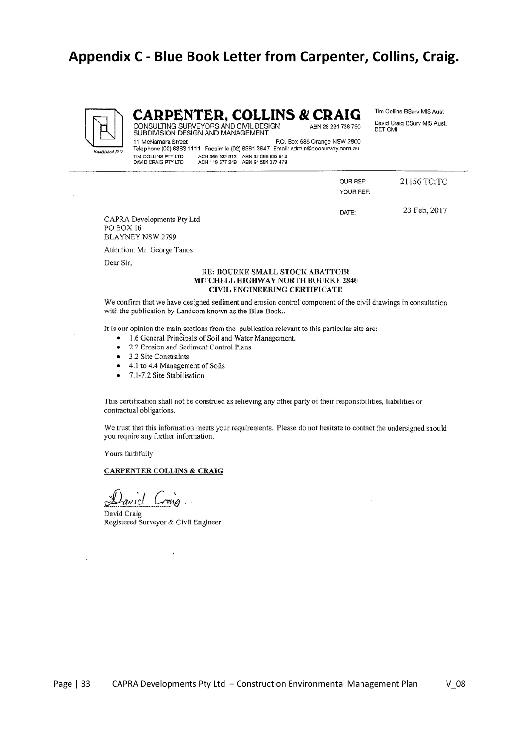## <span id="page-32-0"></span>**Appendix C - Blue Book Letter from Carpenter, Collins, Craig.**



### **CARPENTER, COLLINS & CRAIG**

Tim Collins BSurv MIS Aust David Craig BSurv MIS Aust, **BET Civil** 

CONSULTING SURVEYORS AND CIVIL DESIGN<br>SUBDIVISION DESIGN AND MANAGEMENT 11 McNamara Street P.O. Box 685 Orange NSW 2800 Telephone (02) 6363 1111 Facsimile (02) 6361 3647 Email: admin@cccsurvey.com.au ACN 069 932 912 ABN 32 069 932 912<br>ACN 119 577 249 ABN 94 584 377 479 TIM COLLINS PTY LTD DAVID CRAIG PTY LTD

| OUR REF:<br>YOUR REF: | 21156 TC:TC  |
|-----------------------|--------------|
| DATE:                 | 23 Feb, 2017 |

ABN 28 291 738 790

CAPRA Developments Pty Ltd PO BOX 16 **BLAYNEY NSW 2799** 

Attention: Mr. George Tanos

Dear Sir,

#### RE: BOURKE SMALL STOCK ABATTOIR MITCHELL HIGHWAY NORTH BOURKE 2840 CIVIL ENGINEERING CERTIFICATE

We confirm that we have designed sediment and erosion control component of the civil drawings in consultation with the publication by Landcom known as the Blue Book..

It is our opinion the main sections from the publication relevant to this particular site are;

- 1.6 General Principals of Soil and Water Management.
- 2.2 Erosion and Sediment Control Plans  $\bullet$
- 3.2 Site Constraints  $\bullet$
- 4.1 to 4.4 Management of Soils  $\bullet$
- 7.1-7.2 Site Stabilisation  $\bullet$

This certification shall not be construed as relieving any other party of their responsibilities, liabilities or contractual obligations.

We trust that this information meets your requirements. Please do not hesitate to contact the undersigned should you require any further information.

Yours faithfully

#### **CARPENTER COLLINS & CRAIG**

David Craig Registered Surveyor & Civil Engineer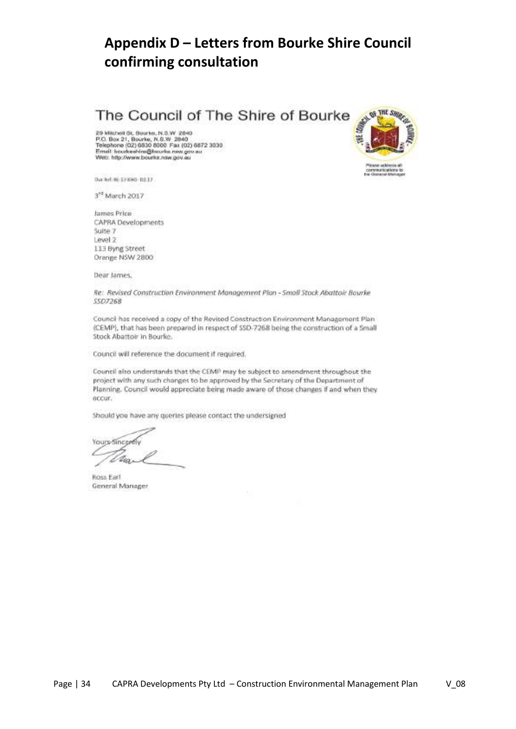# <span id="page-33-0"></span>**Appendix D – Letters from Bourke Shire Council confirming consultation**

The Council of The Shire of Bourke

29 Mitchell St. Bourke, N.S.W. 2840<br>P.O. Box 21, Bourke, N.S.W. 2840<br>Telephone (02) 6830 8000 Fax (02) 6872 3030<br>Email: bourkeshire@bourke.nsw.gov.au Web: http://www.bourke.nsw.gov.eu



3rd March 2017

James Price CAPRA Developments Suite 7 Level 2 113 Byng Street Orange NSW 2800

Dear James,

Re: Revised Construction Environment Management Plan - Small Stock Abattoir Bourke 55D7268

Council has received a copy of the Revised Construction Environment Management Plan (CEMP), that has been prepared in respect of SSD-7268 being the construction of a Small Stock Abattoir in Bourke.

Council will reference the document if required.

Council also understands that the CEMP may be subject to amendment throughout the project with any such changes to be approved by the Secretary of the Department of Planning. Council would appreciate being made aware of those changes if and when they occur.

Should you have any queries please contact the undersigned

Yours-Sincently Ma Ł

Ross Earl General Manager